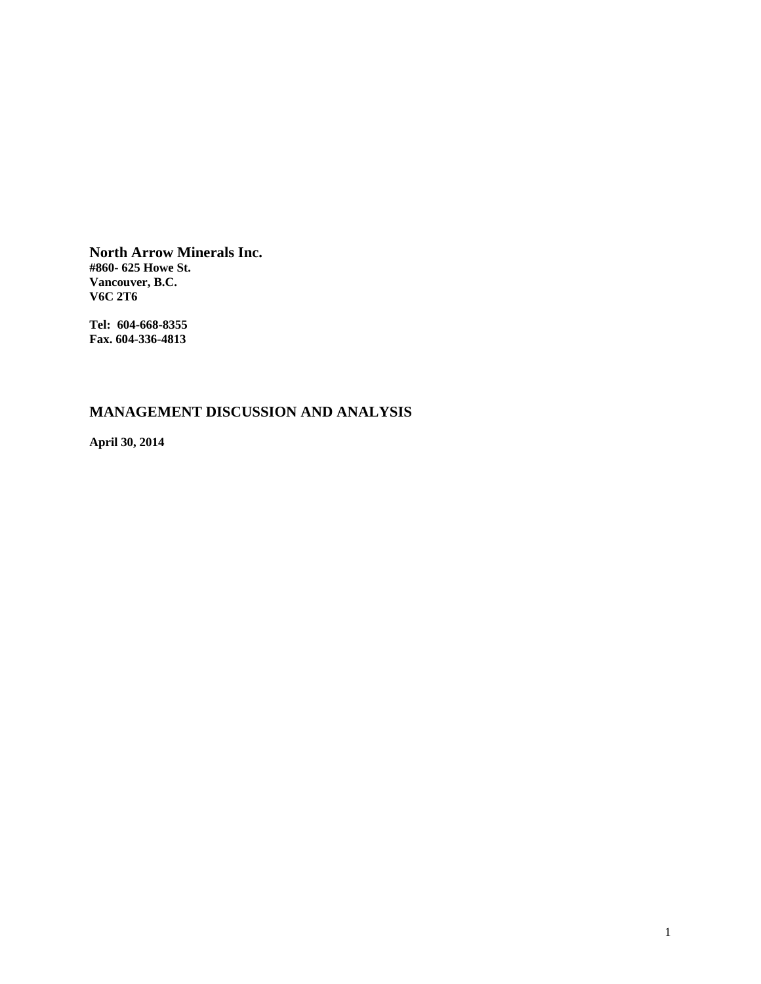**North Arrow Minerals Inc. #860- 625 Howe St. Vancouver, B.C. V6C 2T6** 

**Tel: 604-668-8355 Fax. 604-336-4813** 

# **MANAGEMENT DISCUSSION AND ANALYSIS**

**April 30, 2014**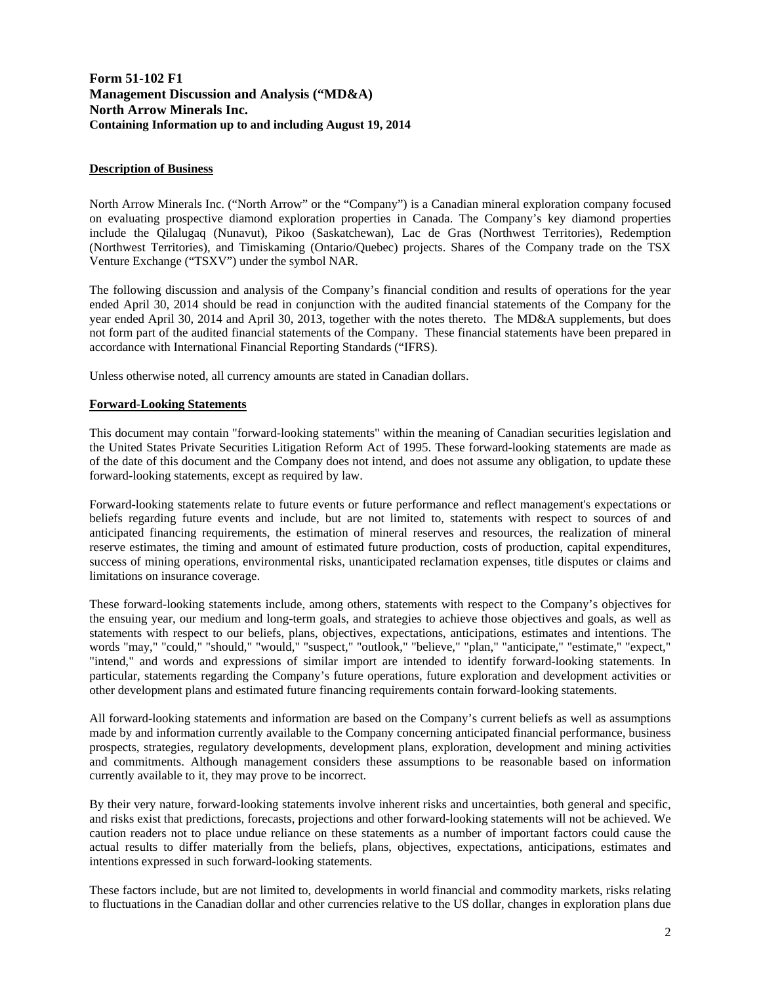# **Form 51-102 F1 Management Discussion and Analysis ("MD&A) North Arrow Minerals Inc. Containing Information up to and including August 19, 2014**

# **Description of Business**

North Arrow Minerals Inc. ("North Arrow" or the "Company") is a Canadian mineral exploration company focused on evaluating prospective diamond exploration properties in Canada. The Company's key diamond properties include the Qilalugaq (Nunavut), Pikoo (Saskatchewan), Lac de Gras (Northwest Territories), Redemption (Northwest Territories), and Timiskaming (Ontario/Quebec) projects. Shares of the Company trade on the TSX Venture Exchange ("TSXV") under the symbol NAR.

The following discussion and analysis of the Company's financial condition and results of operations for the year ended April 30, 2014 should be read in conjunction with the audited financial statements of the Company for the year ended April 30, 2014 and April 30, 2013, together with the notes thereto. The MD&A supplements, but does not form part of the audited financial statements of the Company. These financial statements have been prepared in accordance with International Financial Reporting Standards ("IFRS).

Unless otherwise noted, all currency amounts are stated in Canadian dollars.

## **Forward-Looking Statements**

This document may contain "forward-looking statements" within the meaning of Canadian securities legislation and the United States Private Securities Litigation Reform Act of 1995. These forward-looking statements are made as of the date of this document and the Company does not intend, and does not assume any obligation, to update these forward-looking statements, except as required by law.

Forward-looking statements relate to future events or future performance and reflect management's expectations or beliefs regarding future events and include, but are not limited to, statements with respect to sources of and anticipated financing requirements, the estimation of mineral reserves and resources, the realization of mineral reserve estimates, the timing and amount of estimated future production, costs of production, capital expenditures, success of mining operations, environmental risks, unanticipated reclamation expenses, title disputes or claims and limitations on insurance coverage.

These forward-looking statements include, among others, statements with respect to the Company's objectives for the ensuing year, our medium and long-term goals, and strategies to achieve those objectives and goals, as well as statements with respect to our beliefs, plans, objectives, expectations, anticipations, estimates and intentions. The words "may," "could," "should," "would," "suspect," "outlook," "believe," "plan," "anticipate," "estimate," "expect," "intend," and words and expressions of similar import are intended to identify forward-looking statements. In particular, statements regarding the Company's future operations, future exploration and development activities or other development plans and estimated future financing requirements contain forward-looking statements.

All forward-looking statements and information are based on the Company's current beliefs as well as assumptions made by and information currently available to the Company concerning anticipated financial performance, business prospects, strategies, regulatory developments, development plans, exploration, development and mining activities and commitments. Although management considers these assumptions to be reasonable based on information currently available to it, they may prove to be incorrect.

By their very nature, forward-looking statements involve inherent risks and uncertainties, both general and specific, and risks exist that predictions, forecasts, projections and other forward-looking statements will not be achieved. We caution readers not to place undue reliance on these statements as a number of important factors could cause the actual results to differ materially from the beliefs, plans, objectives, expectations, anticipations, estimates and intentions expressed in such forward-looking statements.

These factors include, but are not limited to, developments in world financial and commodity markets, risks relating to fluctuations in the Canadian dollar and other currencies relative to the US dollar, changes in exploration plans due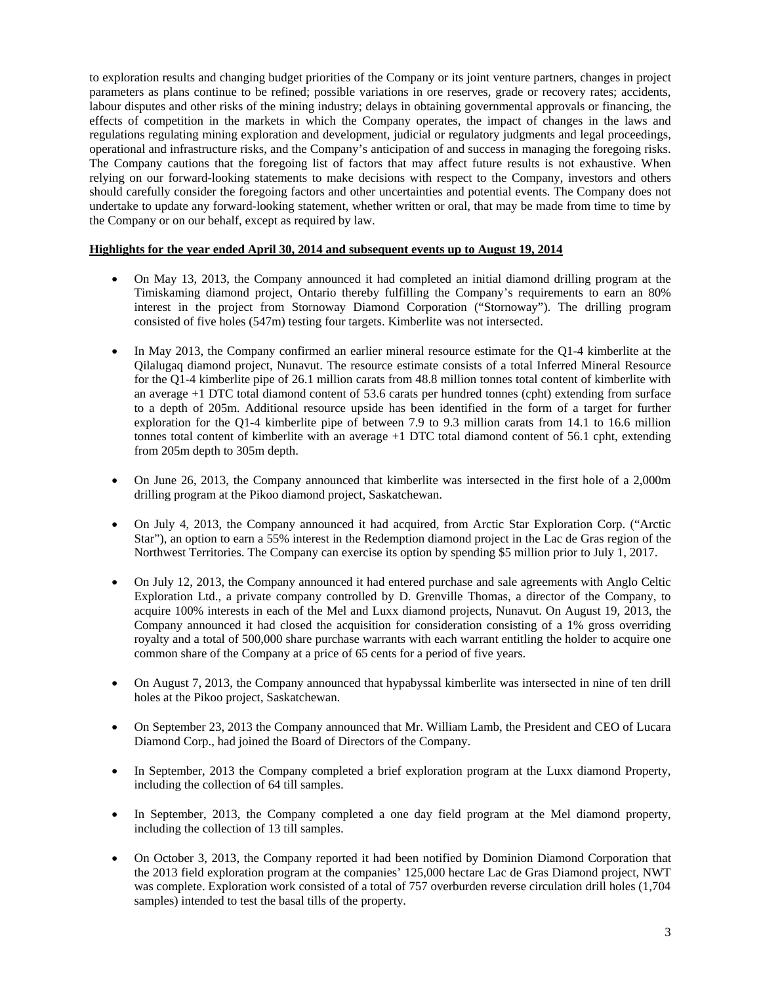to exploration results and changing budget priorities of the Company or its joint venture partners, changes in project parameters as plans continue to be refined; possible variations in ore reserves, grade or recovery rates; accidents, labour disputes and other risks of the mining industry; delays in obtaining governmental approvals or financing, the effects of competition in the markets in which the Company operates, the impact of changes in the laws and regulations regulating mining exploration and development, judicial or regulatory judgments and legal proceedings, operational and infrastructure risks, and the Company's anticipation of and success in managing the foregoing risks. The Company cautions that the foregoing list of factors that may affect future results is not exhaustive. When relying on our forward-looking statements to make decisions with respect to the Company, investors and others should carefully consider the foregoing factors and other uncertainties and potential events. The Company does not undertake to update any forward-looking statement, whether written or oral, that may be made from time to time by the Company or on our behalf, except as required by law.

## **Highlights for the year ended April 30, 2014 and subsequent events up to August 19, 2014**

- On May 13, 2013, the Company announced it had completed an initial diamond drilling program at the Timiskaming diamond project, Ontario thereby fulfilling the Company's requirements to earn an 80% interest in the project from Stornoway Diamond Corporation ("Stornoway"). The drilling program consisted of five holes (547m) testing four targets. Kimberlite was not intersected.
- In May 2013, the Company confirmed an earlier mineral resource estimate for the Q1-4 kimberlite at the Qilalugaq diamond project, Nunavut. The resource estimate consists of a total Inferred Mineral Resource for the Q1-4 kimberlite pipe of 26.1 million carats from 48.8 million tonnes total content of kimberlite with an average +1 DTC total diamond content of 53.6 carats per hundred tonnes (cpht) extending from surface to a depth of 205m. Additional resource upside has been identified in the form of a target for further exploration for the Q1-4 kimberlite pipe of between 7.9 to 9.3 million carats from 14.1 to 16.6 million tonnes total content of kimberlite with an average +1 DTC total diamond content of 56.1 cpht, extending from 205m depth to 305m depth.
- On June 26, 2013, the Company announced that kimberlite was intersected in the first hole of a 2,000m drilling program at the Pikoo diamond project, Saskatchewan.
- On July 4, 2013, the Company announced it had acquired, from Arctic Star Exploration Corp. ("Arctic Star"), an option to earn a 55% interest in the Redemption diamond project in the Lac de Gras region of the Northwest Territories. The Company can exercise its option by spending \$5 million prior to July 1, 2017.
- On July 12, 2013, the Company announced it had entered purchase and sale agreements with Anglo Celtic Exploration Ltd., a private company controlled by D. Grenville Thomas, a director of the Company, to acquire 100% interests in each of the Mel and Luxx diamond projects, Nunavut. On August 19, 2013, the Company announced it had closed the acquisition for consideration consisting of a 1% gross overriding royalty and a total of 500,000 share purchase warrants with each warrant entitling the holder to acquire one common share of the Company at a price of 65 cents for a period of five years.
- On August 7, 2013, the Company announced that hypabyssal kimberlite was intersected in nine of ten drill holes at the Pikoo project, Saskatchewan.
- On September 23, 2013 the Company announced that Mr. William Lamb, the President and CEO of Lucara Diamond Corp., had joined the Board of Directors of the Company.
- In September, 2013 the Company completed a brief exploration program at the Luxx diamond Property, including the collection of 64 till samples.
- In September, 2013, the Company completed a one day field program at the Mel diamond property, including the collection of 13 till samples.
- On October 3, 2013, the Company reported it had been notified by Dominion Diamond Corporation that the 2013 field exploration program at the companies' 125,000 hectare Lac de Gras Diamond project, NWT was complete. Exploration work consisted of a total of 757 overburden reverse circulation drill holes (1,704 samples) intended to test the basal tills of the property.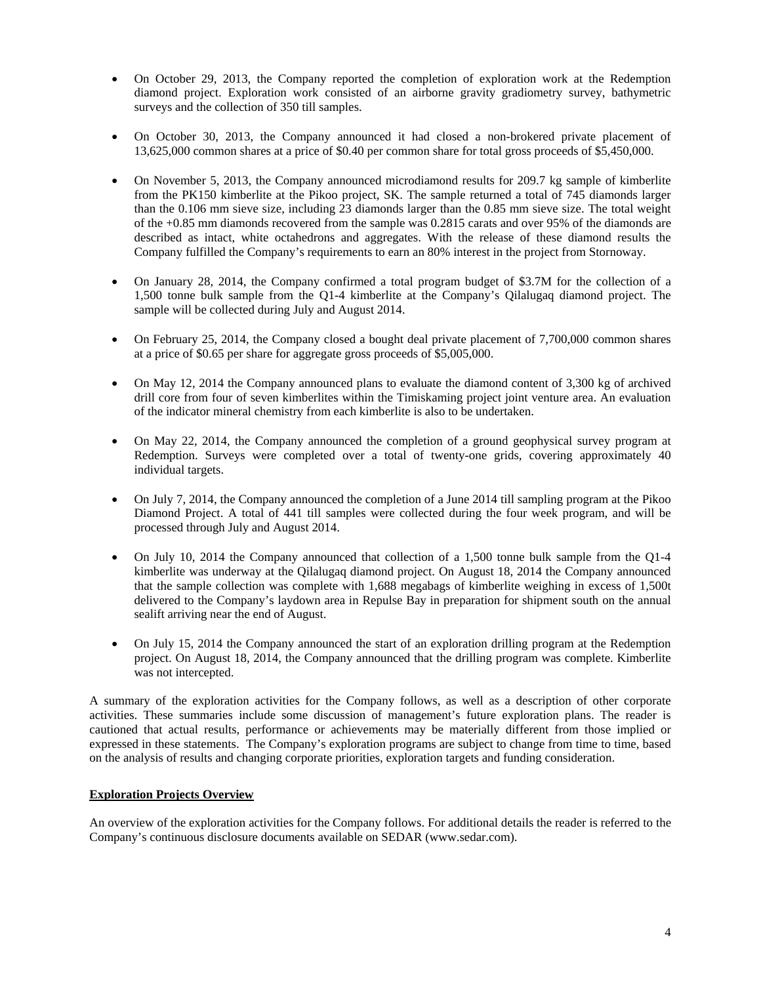- On October 29, 2013, the Company reported the completion of exploration work at the Redemption diamond project. Exploration work consisted of an airborne gravity gradiometry survey, bathymetric surveys and the collection of 350 till samples.
- On October 30, 2013, the Company announced it had closed a non-brokered private placement of 13,625,000 common shares at a price of \$0.40 per common share for total gross proceeds of \$5,450,000.
- On November 5, 2013, the Company announced microdiamond results for 209.7 kg sample of kimberlite from the PK150 kimberlite at the Pikoo project, SK. The sample returned a total of 745 diamonds larger than the 0.106 mm sieve size, including 23 diamonds larger than the 0.85 mm sieve size. The total weight of the +0.85 mm diamonds recovered from the sample was 0.2815 carats and over 95% of the diamonds are described as intact, white octahedrons and aggregates. With the release of these diamond results the Company fulfilled the Company's requirements to earn an 80% interest in the project from Stornoway.
- On January 28, 2014, the Company confirmed a total program budget of \$3.7M for the collection of a 1,500 tonne bulk sample from the Q1-4 kimberlite at the Company's Qilalugaq diamond project. The sample will be collected during July and August 2014.
- On February 25, 2014, the Company closed a bought deal private placement of 7,700,000 common shares at a price of \$0.65 per share for aggregate gross proceeds of \$5,005,000.
- On May 12, 2014 the Company announced plans to evaluate the diamond content of 3,300 kg of archived drill core from four of seven kimberlites within the Timiskaming project joint venture area. An evaluation of the indicator mineral chemistry from each kimberlite is also to be undertaken.
- On May 22, 2014, the Company announced the completion of a ground geophysical survey program at Redemption. Surveys were completed over a total of twenty-one grids, covering approximately 40 individual targets.
- On July 7, 2014, the Company announced the completion of a June 2014 till sampling program at the Pikoo Diamond Project. A total of 441 till samples were collected during the four week program, and will be processed through July and August 2014.
- On July 10, 2014 the Company announced that collection of a 1,500 tonne bulk sample from the Q1-4 kimberlite was underway at the Qilalugaq diamond project. On August 18, 2014 the Company announced that the sample collection was complete with 1,688 megabags of kimberlite weighing in excess of 1,500t delivered to the Company's laydown area in Repulse Bay in preparation for shipment south on the annual sealift arriving near the end of August.
- On July 15, 2014 the Company announced the start of an exploration drilling program at the Redemption project. On August 18, 2014, the Company announced that the drilling program was complete. Kimberlite was not intercepted.

A summary of the exploration activities for the Company follows, as well as a description of other corporate activities. These summaries include some discussion of management's future exploration plans. The reader is cautioned that actual results, performance or achievements may be materially different from those implied or expressed in these statements. The Company's exploration programs are subject to change from time to time, based on the analysis of results and changing corporate priorities, exploration targets and funding consideration.

# **Exploration Projects Overview**

An overview of the exploration activities for the Company follows. For additional details the reader is referred to the Company's continuous disclosure documents available on SEDAR (www.sedar.com).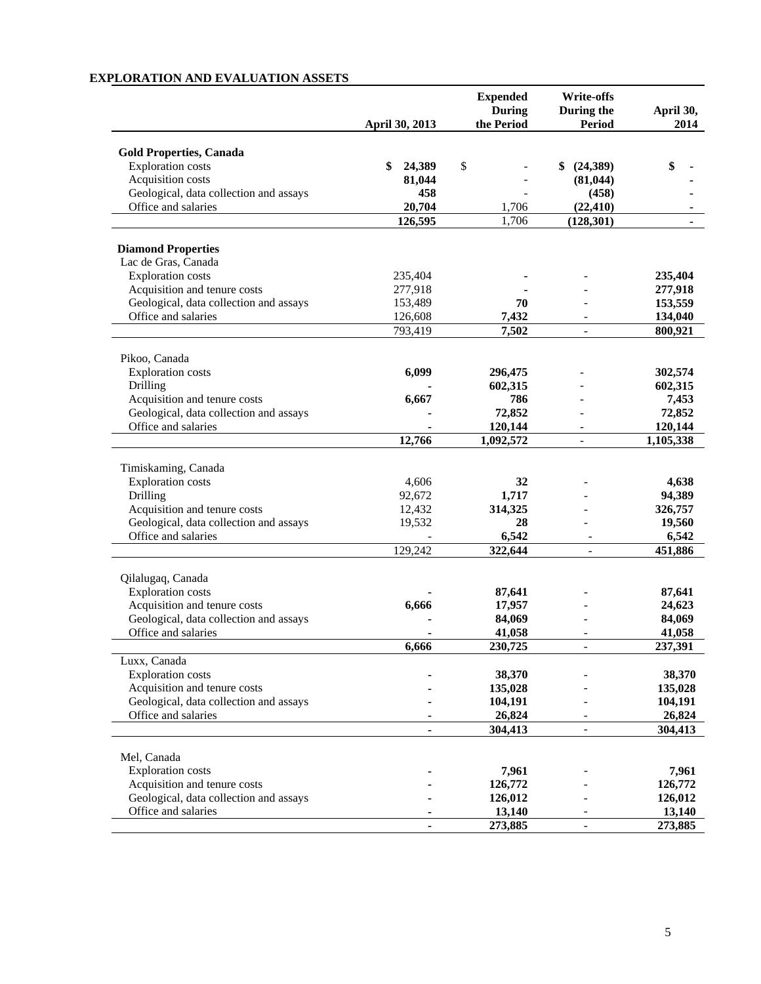## **April 30, 2013 Expended During the Period Write-offs During the Period April 30, 2014 Gold Properties, Canada**  Exploration costs **\$ 24,389** \$ - \$ (24,389) \$<br>Acquisition costs **\$ 1,044** - (81,044) Acquisition costs **81,044** - **(81,044) -**  Geological, data collection and assays **458 458 1458** Office and salaries **20,704 1,706 (22,410) 1 126,595** 1,706 **(128,301) - Diamond Properties**  Lac de Gras, Canada Exploration costs 235,404 **-** - **235,404**  Acquisition and tenure costs<br>
Geological, data collection and assays<br>  $153,489$ <br> **277,918**<br> **277,918**<br> **277,918**<br> **277,918**<br> **277,918**<br> **277,918** Geological, data collection and assays 153,489 **70**<br>Office and salaries 126,608 **7,432** Office and salaries 126,608 **7,432 134,040 126,608 7,502 134,040 793,419 7502 1**  793,419 **7,502** - **800,921**  Pikoo, Canada Exploration costs **6,099** 296,475 - 302,574<br>Drilling **602,315** 602,315 602,315 Drilling **- 602,315** - **602,315**  Acquisition and tenure costs **6,667** 786 - 7,453<br>Geological, data collection and assays **6,667** 72,852 - 72,852 Geological, data collection and assays Office and salaries **120.144 -** 120.144 **120.144 120.144 12,766 1,092,572** - **1,105,338**  Timiskaming, Canada Exploration costs 4,606 **32** - **4,638**  Drilling 92,672 **1,717** - **94,389**  Acquisition and tenure costs<br>
Geological, data collection and assays<br>  $12,432$ <br>  $19,532$ <br> **314,325**<br> **326,757**<br> **326,757**<br> **28** Geological, data collection and assays 19,532 **28** Office and salaries **6,542 - 6,542 - 6,542 129,242 322,644 - 451,886**  129,242 **322,644** - **451,886**  Qilalugaq, Canada Exploration costs **- 87,641** - **87,641**  Acquisition and tenure costs **6,666 17,957** - **24,623**  Geological, data collection and assays **- 84,069** - **84,069**  Office and salaries **- 41,058** - **41,058 6,666 230,725** - **237,391**  Luxx, Canada Exploration costs **- 38,370** - **38,370**  Acquisition and tenure costs **- 135,028** - **135,028**  Geological, data collection and assays **104,191 - 104,191 104,191**  Office and salaries **- 26,824** - **26,824 - 304,413** - **304,413**  Mel, Canada Exploration costs **- 7,961** - **7,961**  Acquisition and tenure costs **- 126,772** - **126,772**  Geological, data collection and assays **- 126,012** - **126,012**  Office and salaries **- 13,140** - **13,140 - 273,885** - **273,885**

# **EXPLORATION AND EVALUATION ASSETS**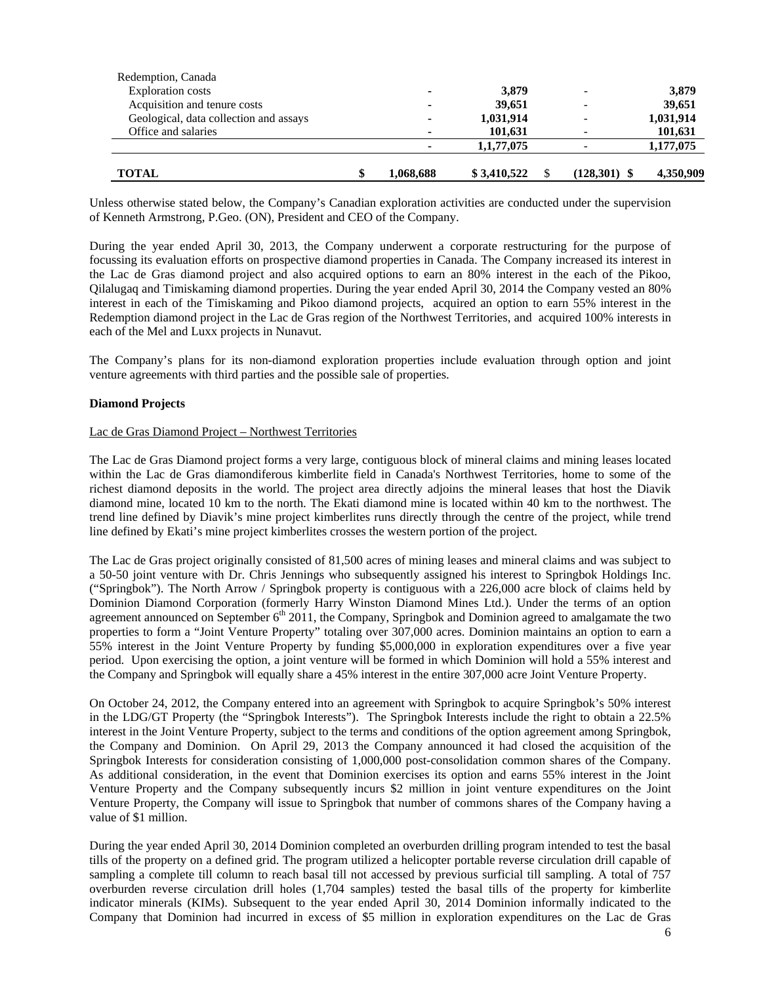| Redemption, Canada                     |           |             |                |           |
|----------------------------------------|-----------|-------------|----------------|-----------|
| <b>Exploration costs</b>               |           | 3,879       |                | 3,879     |
| Acquisition and tenure costs           | -         | 39,651      |                | 39,651    |
| Geological, data collection and assays |           | 1,031,914   |                | 1,031,914 |
| Office and salaries                    |           | 101,631     |                | 101,631   |
|                                        |           | 1,1,77,075  |                | 1,177,075 |
| <b>TOTAL</b>                           | 1,068,688 | \$3,410,522 | $(128,301)$ \$ | 4,350,909 |

Unless otherwise stated below, the Company's Canadian exploration activities are conducted under the supervision of Kenneth Armstrong, P.Geo. (ON), President and CEO of the Company.

During the year ended April 30, 2013, the Company underwent a corporate restructuring for the purpose of focussing its evaluation efforts on prospective diamond properties in Canada. The Company increased its interest in the Lac de Gras diamond project and also acquired options to earn an 80% interest in the each of the Pikoo, Qilalugaq and Timiskaming diamond properties. During the year ended April 30, 2014 the Company vested an 80% interest in each of the Timiskaming and Pikoo diamond projects, acquired an option to earn 55% interest in the Redemption diamond project in the Lac de Gras region of the Northwest Territories, and acquired 100% interests in each of the Mel and Luxx projects in Nunavut.

The Company's plans for its non-diamond exploration properties include evaluation through option and joint venture agreements with third parties and the possible sale of properties.

## **Diamond Projects**

#### Lac de Gras Diamond Project – Northwest Territories

The Lac de Gras Diamond project forms a very large, contiguous block of mineral claims and mining leases located within the Lac de Gras diamondiferous kimberlite field in Canada's Northwest Territories, home to some of the richest diamond deposits in the world. The project area directly adjoins the mineral leases that host the Diavik diamond mine, located 10 km to the north. The Ekati diamond mine is located within 40 km to the northwest. The trend line defined by Diavik's mine project kimberlites runs directly through the centre of the project, while trend line defined by Ekati's mine project kimberlites crosses the western portion of the project.

The Lac de Gras project originally consisted of 81,500 acres of mining leases and mineral claims and was subject to a 50-50 joint venture with Dr. Chris Jennings who subsequently assigned his interest to Springbok Holdings Inc. ("Springbok"). The North Arrow / Springbok property is contiguous with a 226,000 acre block of claims held by Dominion Diamond Corporation (formerly Harry Winston Diamond Mines Ltd.). Under the terms of an option agreement announced on September  $6<sup>th</sup> 2011$ , the Company, Springbok and Dominion agreed to amalgamate the two properties to form a "Joint Venture Property" totaling over 307,000 acres. Dominion maintains an option to earn a 55% interest in the Joint Venture Property by funding \$5,000,000 in exploration expenditures over a five year period. Upon exercising the option, a joint venture will be formed in which Dominion will hold a 55% interest and the Company and Springbok will equally share a 45% interest in the entire 307,000 acre Joint Venture Property.

On October 24, 2012, the Company entered into an agreement with Springbok to acquire Springbok's 50% interest in the LDG/GT Property (the "Springbok Interests"). The Springbok Interests include the right to obtain a 22.5% interest in the Joint Venture Property, subject to the terms and conditions of the option agreement among Springbok, the Company and Dominion. On April 29, 2013 the Company announced it had closed the acquisition of the Springbok Interests for consideration consisting of 1,000,000 post-consolidation common shares of the Company. As additional consideration, in the event that Dominion exercises its option and earns 55% interest in the Joint Venture Property and the Company subsequently incurs \$2 million in joint venture expenditures on the Joint Venture Property, the Company will issue to Springbok that number of commons shares of the Company having a value of \$1 million.

During the year ended April 30, 2014 Dominion completed an overburden drilling program intended to test the basal tills of the property on a defined grid. The program utilized a helicopter portable reverse circulation drill capable of sampling a complete till column to reach basal till not accessed by previous surficial till sampling. A total of 757 overburden reverse circulation drill holes (1,704 samples) tested the basal tills of the property for kimberlite indicator minerals (KIMs). Subsequent to the year ended April 30, 2014 Dominion informally indicated to the Company that Dominion had incurred in excess of \$5 million in exploration expenditures on the Lac de Gras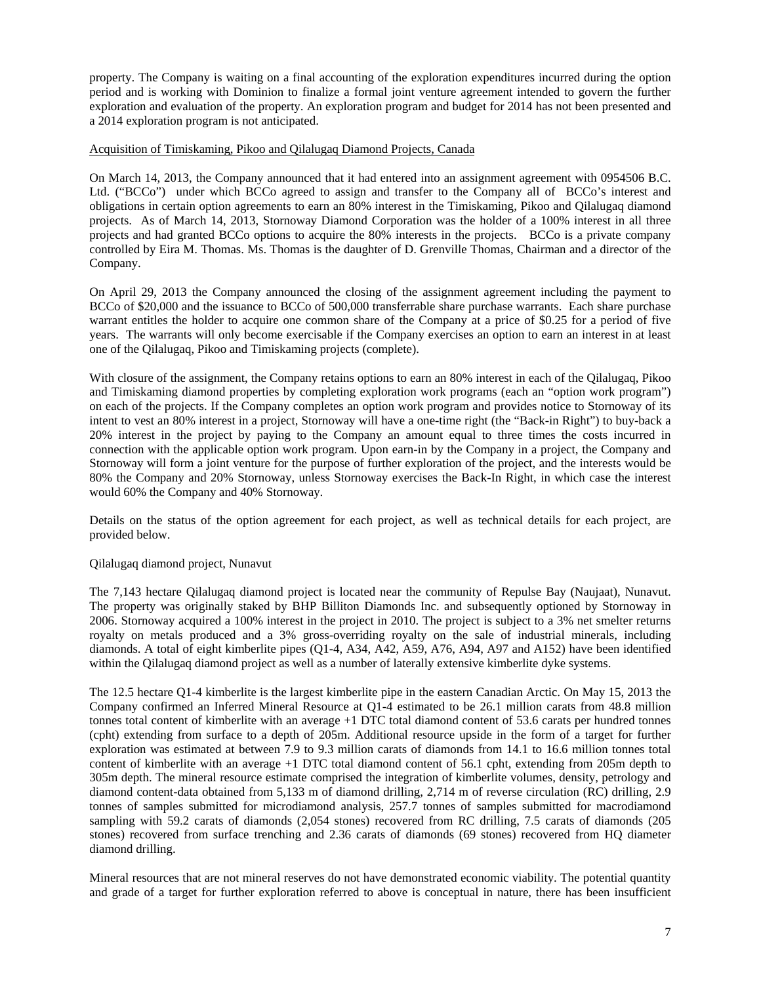property. The Company is waiting on a final accounting of the exploration expenditures incurred during the option period and is working with Dominion to finalize a formal joint venture agreement intended to govern the further exploration and evaluation of the property. An exploration program and budget for 2014 has not been presented and a 2014 exploration program is not anticipated.

#### Acquisition of Timiskaming, Pikoo and Qilalugaq Diamond Projects, Canada

On March 14, 2013, the Company announced that it had entered into an assignment agreement with 0954506 B.C. Ltd. ("BCCo") under which BCCo agreed to assign and transfer to the Company all of BCCo's interest and obligations in certain option agreements to earn an 80% interest in the Timiskaming, Pikoo and Qilalugaq diamond projects. As of March 14, 2013, Stornoway Diamond Corporation was the holder of a 100% interest in all three projects and had granted BCCo options to acquire the 80% interests in the projects. BCCo is a private company controlled by Eira M. Thomas. Ms. Thomas is the daughter of D. Grenville Thomas, Chairman and a director of the Company.

On April 29, 2013 the Company announced the closing of the assignment agreement including the payment to BCCo of \$20,000 and the issuance to BCCo of 500,000 transferrable share purchase warrants. Each share purchase warrant entitles the holder to acquire one common share of the Company at a price of \$0.25 for a period of five years. The warrants will only become exercisable if the Company exercises an option to earn an interest in at least one of the Qilalugaq, Pikoo and Timiskaming projects (complete).

With closure of the assignment, the Company retains options to earn an 80% interest in each of the Qilalugaq, Pikoo and Timiskaming diamond properties by completing exploration work programs (each an "option work program") on each of the projects. If the Company completes an option work program and provides notice to Stornoway of its intent to vest an 80% interest in a project, Stornoway will have a one-time right (the "Back-in Right") to buy-back a 20% interest in the project by paying to the Company an amount equal to three times the costs incurred in connection with the applicable option work program. Upon earn-in by the Company in a project, the Company and Stornoway will form a joint venture for the purpose of further exploration of the project, and the interests would be 80% the Company and 20% Stornoway, unless Stornoway exercises the Back-In Right, in which case the interest would 60% the Company and 40% Stornoway.

Details on the status of the option agreement for each project, as well as technical details for each project, are provided below.

# Qilalugaq diamond project, Nunavut

The 7,143 hectare Qilalugaq diamond project is located near the community of Repulse Bay (Naujaat), Nunavut. The property was originally staked by BHP Billiton Diamonds Inc. and subsequently optioned by Stornoway in 2006. Stornoway acquired a 100% interest in the project in 2010. The project is subject to a 3% net smelter returns royalty on metals produced and a 3% gross-overriding royalty on the sale of industrial minerals, including diamonds. A total of eight kimberlite pipes (Q1-4, A34, A42, A59, A76, A94, A97 and A152) have been identified within the Qilalugaq diamond project as well as a number of laterally extensive kimberlite dyke systems.

The 12.5 hectare Q1-4 kimberlite is the largest kimberlite pipe in the eastern Canadian Arctic. On May 15, 2013 the Company confirmed an Inferred Mineral Resource at Q1-4 estimated to be 26.1 million carats from 48.8 million tonnes total content of kimberlite with an average +1 DTC total diamond content of 53.6 carats per hundred tonnes (cpht) extending from surface to a depth of 205m. Additional resource upside in the form of a target for further exploration was estimated at between 7.9 to 9.3 million carats of diamonds from 14.1 to 16.6 million tonnes total content of kimberlite with an average +1 DTC total diamond content of 56.1 cpht, extending from 205m depth to 305m depth. The mineral resource estimate comprised the integration of kimberlite volumes, density, petrology and diamond content-data obtained from 5,133 m of diamond drilling, 2,714 m of reverse circulation (RC) drilling, 2.9 tonnes of samples submitted for microdiamond analysis, 257.7 tonnes of samples submitted for macrodiamond sampling with 59.2 carats of diamonds (2,054 stones) recovered from RC drilling, 7.5 carats of diamonds (205 stones) recovered from surface trenching and 2.36 carats of diamonds (69 stones) recovered from HQ diameter diamond drilling.

Mineral resources that are not mineral reserves do not have demonstrated economic viability. The potential quantity and grade of a target for further exploration referred to above is conceptual in nature, there has been insufficient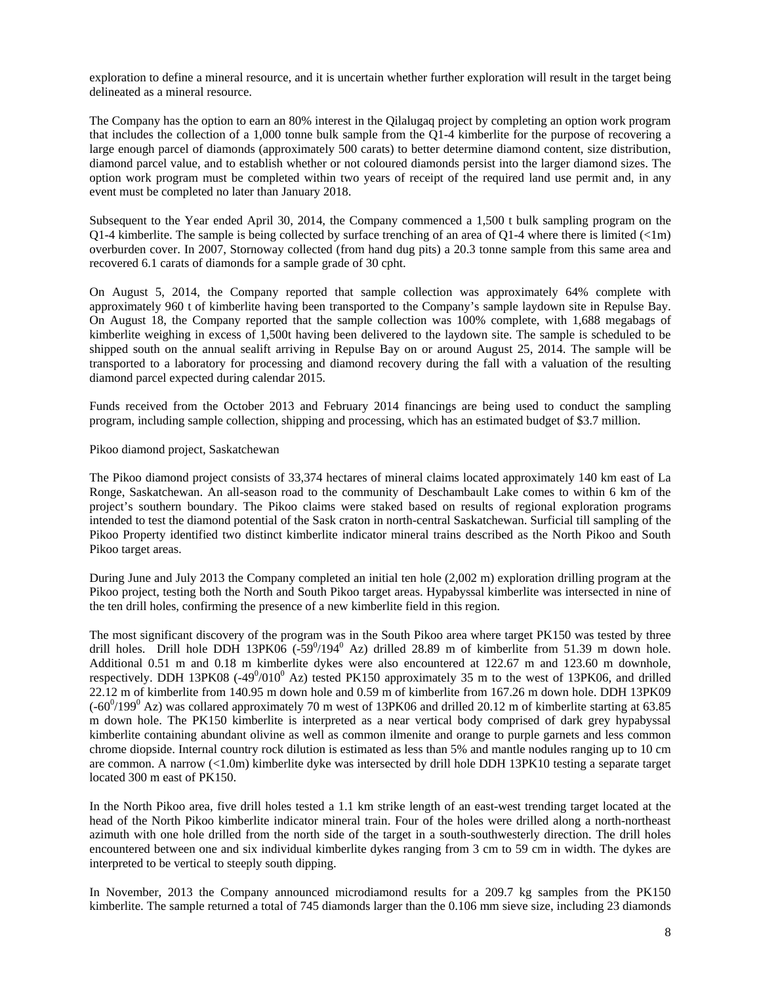exploration to define a mineral resource, and it is uncertain whether further exploration will result in the target being delineated as a mineral resource.

The Company has the option to earn an 80% interest in the Qilalugaq project by completing an option work program that includes the collection of a 1,000 tonne bulk sample from the Q1-4 kimberlite for the purpose of recovering a large enough parcel of diamonds (approximately 500 carats) to better determine diamond content, size distribution, diamond parcel value, and to establish whether or not coloured diamonds persist into the larger diamond sizes. The option work program must be completed within two years of receipt of the required land use permit and, in any event must be completed no later than January 2018.

Subsequent to the Year ended April 30, 2014, the Company commenced a 1,500 t bulk sampling program on the Q1-4 kimberlite. The sample is being collected by surface trenching of an area of Q1-4 where there is limited  $\ll 1$ m) overburden cover. In 2007, Stornoway collected (from hand dug pits) a 20.3 tonne sample from this same area and recovered 6.1 carats of diamonds for a sample grade of 30 cpht.

On August 5, 2014, the Company reported that sample collection was approximately 64% complete with approximately 960 t of kimberlite having been transported to the Company's sample laydown site in Repulse Bay. On August 18, the Company reported that the sample collection was 100% complete, with 1,688 megabags of kimberlite weighing in excess of 1,500t having been delivered to the laydown site. The sample is scheduled to be shipped south on the annual sealift arriving in Repulse Bay on or around August 25, 2014. The sample will be transported to a laboratory for processing and diamond recovery during the fall with a valuation of the resulting diamond parcel expected during calendar 2015.

Funds received from the October 2013 and February 2014 financings are being used to conduct the sampling program, including sample collection, shipping and processing, which has an estimated budget of \$3.7 million.

## Pikoo diamond project, Saskatchewan

The Pikoo diamond project consists of 33,374 hectares of mineral claims located approximately 140 km east of La Ronge, Saskatchewan. An all-season road to the community of Deschambault Lake comes to within 6 km of the project's southern boundary. The Pikoo claims were staked based on results of regional exploration programs intended to test the diamond potential of the Sask craton in north-central Saskatchewan. Surficial till sampling of the Pikoo Property identified two distinct kimberlite indicator mineral trains described as the North Pikoo and South Pikoo target areas.

During June and July 2013 the Company completed an initial ten hole (2,002 m) exploration drilling program at the Pikoo project, testing both the North and South Pikoo target areas. Hypabyssal kimberlite was intersected in nine of the ten drill holes, confirming the presence of a new kimberlite field in this region.

The most significant discovery of the program was in the South Pikoo area where target PK150 was tested by three drill holes. Drill hole DDH 13PK06  $(-59^0/194^0$  Az) drilled 28.89 m of kimberlite from 51.39 m down hole. Additional 0.51 m and 0.18 m kimberlite dykes were also encountered at 122.67 m and 123.60 m downhole, respectively. DDH 13PK08  $(-49^0/010^0)$  Az) tested PK150 approximately 35 m to the west of 13PK06, and drilled 22.12 m of kimberlite from 140.95 m down hole and 0.59 m of kimberlite from 167.26 m down hole. DDH 13PK09  $(-60^{\circ}/199^{\circ}$  Az) was collared approximately 70 m west of 13PK06 and drilled 20.12 m of kimberlite starting at 63.85 m down hole. The PK150 kimberlite is interpreted as a near vertical body comprised of dark grey hypabyssal kimberlite containing abundant olivine as well as common ilmenite and orange to purple garnets and less common chrome diopside. Internal country rock dilution is estimated as less than 5% and mantle nodules ranging up to 10 cm are common. A narrow (<1.0m) kimberlite dyke was intersected by drill hole DDH 13PK10 testing a separate target located 300 m east of PK150.

In the North Pikoo area, five drill holes tested a 1.1 km strike length of an east-west trending target located at the head of the North Pikoo kimberlite indicator mineral train. Four of the holes were drilled along a north-northeast azimuth with one hole drilled from the north side of the target in a south-southwesterly direction. The drill holes encountered between one and six individual kimberlite dykes ranging from 3 cm to 59 cm in width. The dykes are interpreted to be vertical to steeply south dipping.

In November, 2013 the Company announced microdiamond results for a 209.7 kg samples from the PK150 kimberlite. The sample returned a total of 745 diamonds larger than the 0.106 mm sieve size, including 23 diamonds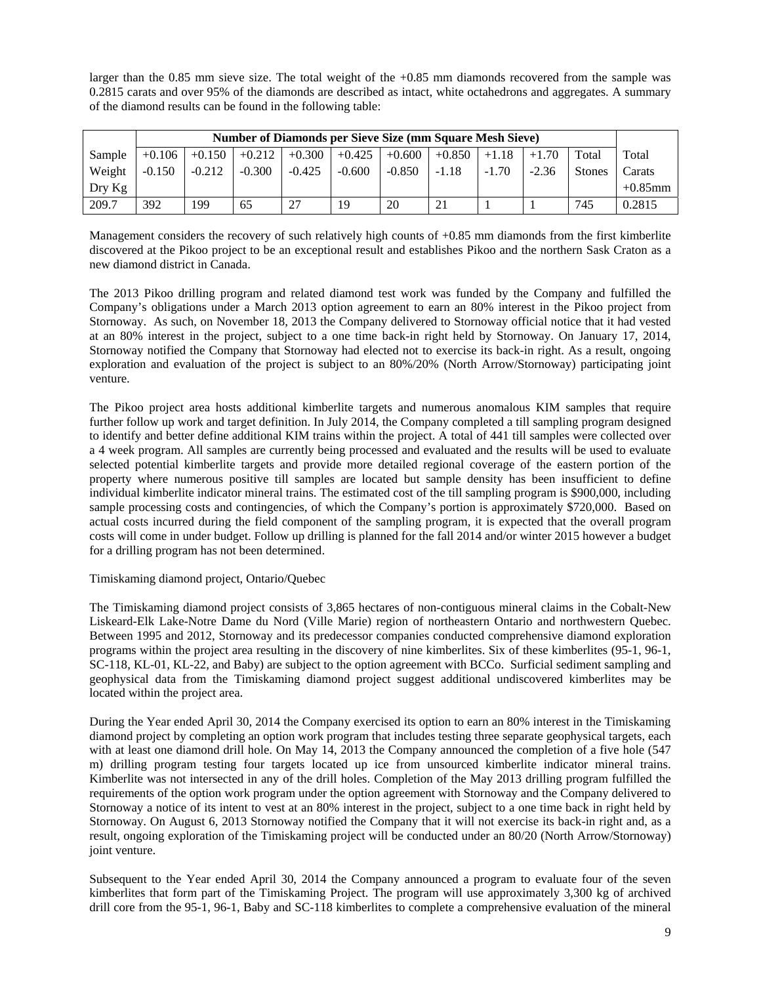larger than the 0.85 mm sieve size. The total weight of the +0.85 mm diamonds recovered from the sample was 0.2815 carats and over 95% of the diamonds are described as intact, white octahedrons and aggregates. A summary of the diamond results can be found in the following table:

|          | <b>Number of Diamonds per Sieve Size (mm Square Mesh Sieve)</b> |          |          |          |                               |          |          |         |         |               |            |
|----------|-----------------------------------------------------------------|----------|----------|----------|-------------------------------|----------|----------|---------|---------|---------------|------------|
| Sample   | $+0.106$                                                        |          |          |          | $+0.150$ +0.212 +0.300 +0.425 | $+0.600$ | $+0.850$ | $+1.18$ | $+1.70$ | Total         | Total      |
| Weight   | $-0.150$                                                        | $-0.212$ | $-0.300$ | $-0.425$ | $-0.600$                      | $-0.850$ | $-1.18$  | $-1.70$ | $-2.36$ | <b>Stones</b> | Carats     |
| $Drv$ Kg |                                                                 |          |          |          |                               |          |          |         |         |               | $+0.85$ mm |
| 209.7    | 392                                                             | 199      | 65       | 27       | 19                            | 20       | 21       |         |         | 745           | 0.2815     |

Management considers the recovery of such relatively high counts of +0.85 mm diamonds from the first kimberlite discovered at the Pikoo project to be an exceptional result and establishes Pikoo and the northern Sask Craton as a new diamond district in Canada.

The 2013 Pikoo drilling program and related diamond test work was funded by the Company and fulfilled the Company's obligations under a March 2013 option agreement to earn an 80% interest in the Pikoo project from Stornoway. As such, on November 18, 2013 the Company delivered to Stornoway official notice that it had vested at an 80% interest in the project, subject to a one time back-in right held by Stornoway. On January 17, 2014, Stornoway notified the Company that Stornoway had elected not to exercise its back-in right. As a result, ongoing exploration and evaluation of the project is subject to an 80%/20% (North Arrow/Stornoway) participating joint venture.

The Pikoo project area hosts additional kimberlite targets and numerous anomalous KIM samples that require further follow up work and target definition. In July 2014, the Company completed a till sampling program designed to identify and better define additional KIM trains within the project. A total of 441 till samples were collected over a 4 week program. All samples are currently being processed and evaluated and the results will be used to evaluate selected potential kimberlite targets and provide more detailed regional coverage of the eastern portion of the property where numerous positive till samples are located but sample density has been insufficient to define individual kimberlite indicator mineral trains. The estimated cost of the till sampling program is \$900,000, including sample processing costs and contingencies, of which the Company's portion is approximately \$720,000. Based on actual costs incurred during the field component of the sampling program, it is expected that the overall program costs will come in under budget. Follow up drilling is planned for the fall 2014 and/or winter 2015 however a budget for a drilling program has not been determined.

# Timiskaming diamond project, Ontario/Quebec

The Timiskaming diamond project consists of 3,865 hectares of non-contiguous mineral claims in the Cobalt-New Liskeard-Elk Lake-Notre Dame du Nord (Ville Marie) region of northeastern Ontario and northwestern Quebec. Between 1995 and 2012, Stornoway and its predecessor companies conducted comprehensive diamond exploration programs within the project area resulting in the discovery of nine kimberlites. Six of these kimberlites (95-1, 96-1, SC-118, KL-01, KL-22, and Baby) are subject to the option agreement with BCCo. Surficial sediment sampling and geophysical data from the Timiskaming diamond project suggest additional undiscovered kimberlites may be located within the project area.

During the Year ended April 30, 2014 the Company exercised its option to earn an 80% interest in the Timiskaming diamond project by completing an option work program that includes testing three separate geophysical targets, each with at least one diamond drill hole. On May 14, 2013 the Company announced the completion of a five hole (547 m) drilling program testing four targets located up ice from unsourced kimberlite indicator mineral trains. Kimberlite was not intersected in any of the drill holes. Completion of the May 2013 drilling program fulfilled the requirements of the option work program under the option agreement with Stornoway and the Company delivered to Stornoway a notice of its intent to vest at an 80% interest in the project, subject to a one time back in right held by Stornoway. On August 6, 2013 Stornoway notified the Company that it will not exercise its back-in right and, as a result, ongoing exploration of the Timiskaming project will be conducted under an 80/20 (North Arrow/Stornoway) joint venture.

Subsequent to the Year ended April 30, 2014 the Company announced a program to evaluate four of the seven kimberlites that form part of the Timiskaming Project. The program will use approximately 3,300 kg of archived drill core from the 95-1, 96-1, Baby and SC-118 kimberlites to complete a comprehensive evaluation of the mineral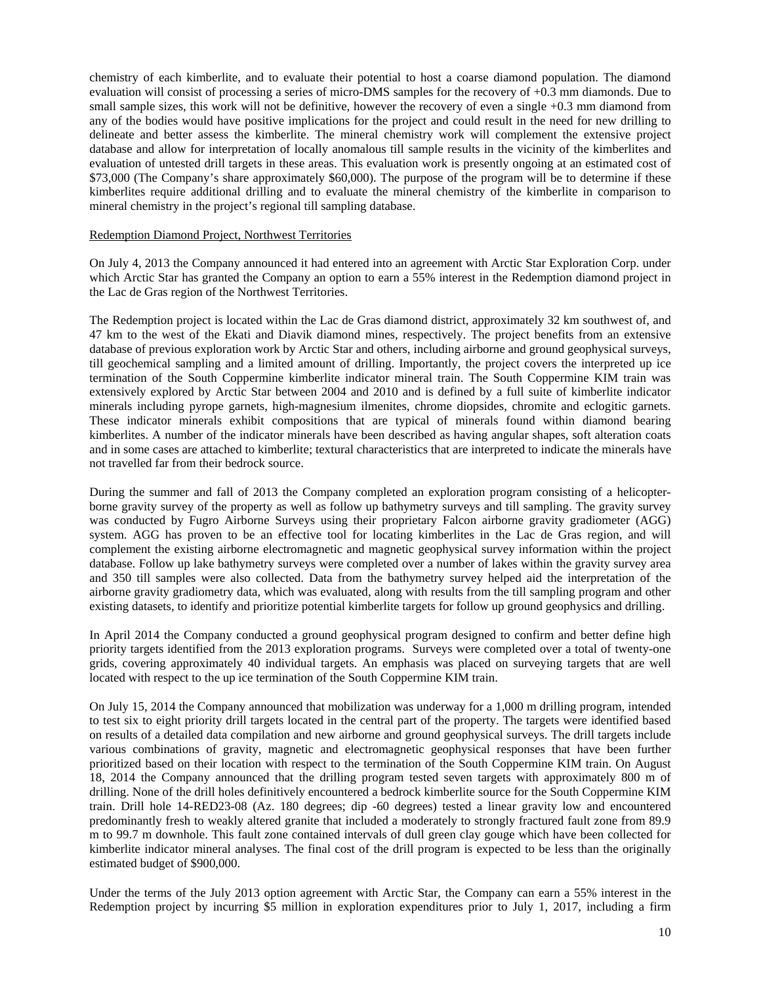chemistry of each kimberlite, and to evaluate their potential to host a coarse diamond population. The diamond evaluation will consist of processing a series of micro-DMS samples for the recovery of +0.3 mm diamonds. Due to small sample sizes, this work will not be definitive, however the recovery of even a single +0.3 mm diamond from any of the bodies would have positive implications for the project and could result in the need for new drilling to delineate and better assess the kimberlite. The mineral chemistry work will complement the extensive project database and allow for interpretation of locally anomalous till sample results in the vicinity of the kimberlites and evaluation of untested drill targets in these areas. This evaluation work is presently ongoing at an estimated cost of \$73,000 (The Company's share approximately \$60,000). The purpose of the program will be to determine if these kimberlites require additional drilling and to evaluate the mineral chemistry of the kimberlite in comparison to mineral chemistry in the project's regional till sampling database.

#### Redemption Diamond Project, Northwest Territories

On July 4, 2013 the Company announced it had entered into an agreement with Arctic Star Exploration Corp. under which Arctic Star has granted the Company an option to earn a 55% interest in the Redemption diamond project in the Lac de Gras region of the Northwest Territories.

The Redemption project is located within the Lac de Gras diamond district, approximately 32 km southwest of, and 47 km to the west of the Ekati and Diavik diamond mines, respectively. The project benefits from an extensive database of previous exploration work by Arctic Star and others, including airborne and ground geophysical surveys, till geochemical sampling and a limited amount of drilling. Importantly, the project covers the interpreted up ice termination of the South Coppermine kimberlite indicator mineral train. The South Coppermine KIM train was extensively explored by Arctic Star between 2004 and 2010 and is defined by a full suite of kimberlite indicator minerals including pyrope garnets, high-magnesium ilmenites, chrome diopsides, chromite and eclogitic garnets. These indicator minerals exhibit compositions that are typical of minerals found within diamond bearing kimberlites. A number of the indicator minerals have been described as having angular shapes, soft alteration coats and in some cases are attached to kimberlite; textural characteristics that are interpreted to indicate the minerals have not travelled far from their bedrock source.

During the summer and fall of 2013 the Company completed an exploration program consisting of a helicopterborne gravity survey of the property as well as follow up bathymetry surveys and till sampling. The gravity survey was conducted by Fugro Airborne Surveys using their proprietary Falcon airborne gravity gradiometer (AGG) system. AGG has proven to be an effective tool for locating kimberlites in the Lac de Gras region, and will complement the existing airborne electromagnetic and magnetic geophysical survey information within the project database. Follow up lake bathymetry surveys were completed over a number of lakes within the gravity survey area and 350 till samples were also collected. Data from the bathymetry survey helped aid the interpretation of the airborne gravity gradiometry data, which was evaluated, along with results from the till sampling program and other existing datasets, to identify and prioritize potential kimberlite targets for follow up ground geophysics and drilling.

In April 2014 the Company conducted a ground geophysical program designed to confirm and better define high priority targets identified from the 2013 exploration programs. Surveys were completed over a total of twenty-one grids, covering approximately 40 individual targets. An emphasis was placed on surveying targets that are well located with respect to the up ice termination of the South Coppermine KIM train.

On July 15, 2014 the Company announced that mobilization was underway for a 1,000 m drilling program, intended to test six to eight priority drill targets located in the central part of the property. The targets were identified based on results of a detailed data compilation and new airborne and ground geophysical surveys. The drill targets include various combinations of gravity, magnetic and electromagnetic geophysical responses that have been further prioritized based on their location with respect to the termination of the South Coppermine KIM train. On August 18, 2014 the Company announced that the drilling program tested seven targets with approximately 800 m of drilling. None of the drill holes definitively encountered a bedrock kimberlite source for the South Coppermine KIM train. Drill hole 14-RED23-08 (Az. 180 degrees; dip -60 degrees) tested a linear gravity low and encountered predominantly fresh to weakly altered granite that included a moderately to strongly fractured fault zone from 89.9 m to 99.7 m downhole. This fault zone contained intervals of dull green clay gouge which have been collected for kimberlite indicator mineral analyses. The final cost of the drill program is expected to be less than the originally estimated budget of \$900,000.

Under the terms of the July 2013 option agreement with Arctic Star, the Company can earn a 55% interest in the Redemption project by incurring \$5 million in exploration expenditures prior to July 1, 2017, including a firm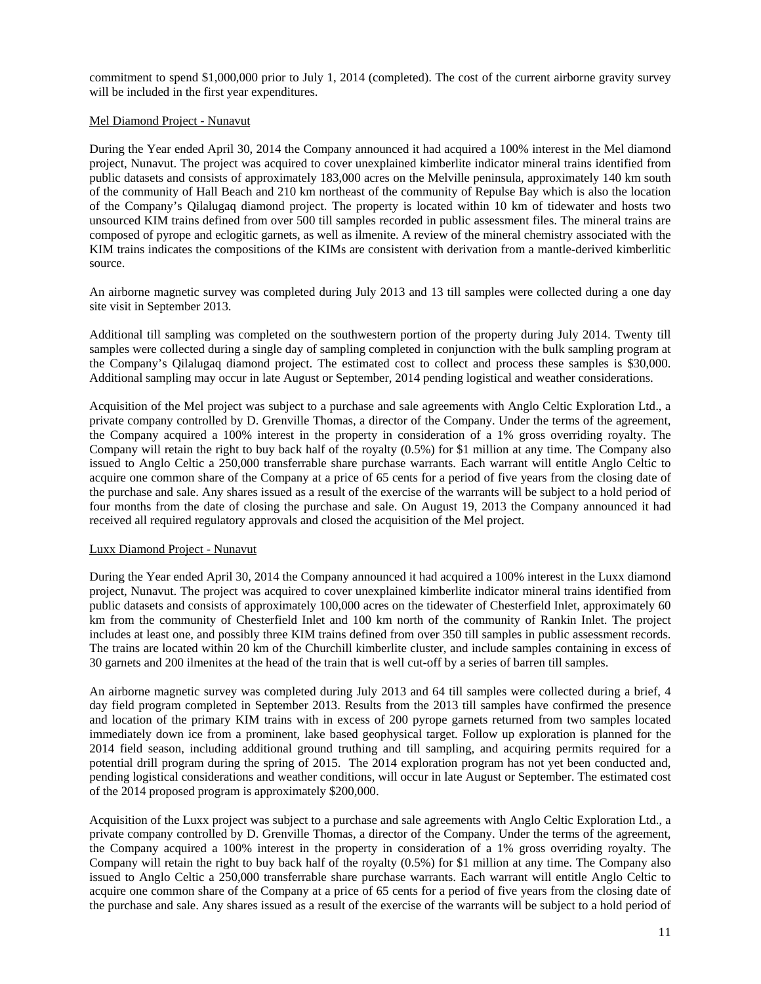commitment to spend \$1,000,000 prior to July 1, 2014 (completed). The cost of the current airborne gravity survey will be included in the first year expenditures.

## Mel Diamond Project - Nunavut

During the Year ended April 30, 2014 the Company announced it had acquired a 100% interest in the Mel diamond project, Nunavut. The project was acquired to cover unexplained kimberlite indicator mineral trains identified from public datasets and consists of approximately 183,000 acres on the Melville peninsula, approximately 140 km south of the community of Hall Beach and 210 km northeast of the community of Repulse Bay which is also the location of the Company's Qilalugaq diamond project. The property is located within 10 km of tidewater and hosts two unsourced KIM trains defined from over 500 till samples recorded in public assessment files. The mineral trains are composed of pyrope and eclogitic garnets, as well as ilmenite. A review of the mineral chemistry associated with the KIM trains indicates the compositions of the KIMs are consistent with derivation from a mantle-derived kimberlitic source.

An airborne magnetic survey was completed during July 2013 and 13 till samples were collected during a one day site visit in September 2013.

Additional till sampling was completed on the southwestern portion of the property during July 2014. Twenty till samples were collected during a single day of sampling completed in conjunction with the bulk sampling program at the Company's Qilalugaq diamond project. The estimated cost to collect and process these samples is \$30,000. Additional sampling may occur in late August or September, 2014 pending logistical and weather considerations.

Acquisition of the Mel project was subject to a purchase and sale agreements with Anglo Celtic Exploration Ltd., a private company controlled by D. Grenville Thomas, a director of the Company. Under the terms of the agreement, the Company acquired a 100% interest in the property in consideration of a 1% gross overriding royalty. The Company will retain the right to buy back half of the royalty (0.5%) for \$1 million at any time. The Company also issued to Anglo Celtic a 250,000 transferrable share purchase warrants. Each warrant will entitle Anglo Celtic to acquire one common share of the Company at a price of 65 cents for a period of five years from the closing date of the purchase and sale. Any shares issued as a result of the exercise of the warrants will be subject to a hold period of four months from the date of closing the purchase and sale. On August 19, 2013 the Company announced it had received all required regulatory approvals and closed the acquisition of the Mel project.

# Luxx Diamond Project - Nunavut

During the Year ended April 30, 2014 the Company announced it had acquired a 100% interest in the Luxx diamond project, Nunavut. The project was acquired to cover unexplained kimberlite indicator mineral trains identified from public datasets and consists of approximately 100,000 acres on the tidewater of Chesterfield Inlet, approximately 60 km from the community of Chesterfield Inlet and 100 km north of the community of Rankin Inlet. The project includes at least one, and possibly three KIM trains defined from over 350 till samples in public assessment records. The trains are located within 20 km of the Churchill kimberlite cluster, and include samples containing in excess of 30 garnets and 200 ilmenites at the head of the train that is well cut-off by a series of barren till samples.

An airborne magnetic survey was completed during July 2013 and 64 till samples were collected during a brief, 4 day field program completed in September 2013. Results from the 2013 till samples have confirmed the presence and location of the primary KIM trains with in excess of 200 pyrope garnets returned from two samples located immediately down ice from a prominent, lake based geophysical target. Follow up exploration is planned for the 2014 field season, including additional ground truthing and till sampling, and acquiring permits required for a potential drill program during the spring of 2015. The 2014 exploration program has not yet been conducted and, pending logistical considerations and weather conditions, will occur in late August or September. The estimated cost of the 2014 proposed program is approximately \$200,000.

Acquisition of the Luxx project was subject to a purchase and sale agreements with Anglo Celtic Exploration Ltd., a private company controlled by D. Grenville Thomas, a director of the Company. Under the terms of the agreement, the Company acquired a 100% interest in the property in consideration of a 1% gross overriding royalty. The Company will retain the right to buy back half of the royalty (0.5%) for \$1 million at any time. The Company also issued to Anglo Celtic a 250,000 transferrable share purchase warrants. Each warrant will entitle Anglo Celtic to acquire one common share of the Company at a price of 65 cents for a period of five years from the closing date of the purchase and sale. Any shares issued as a result of the exercise of the warrants will be subject to a hold period of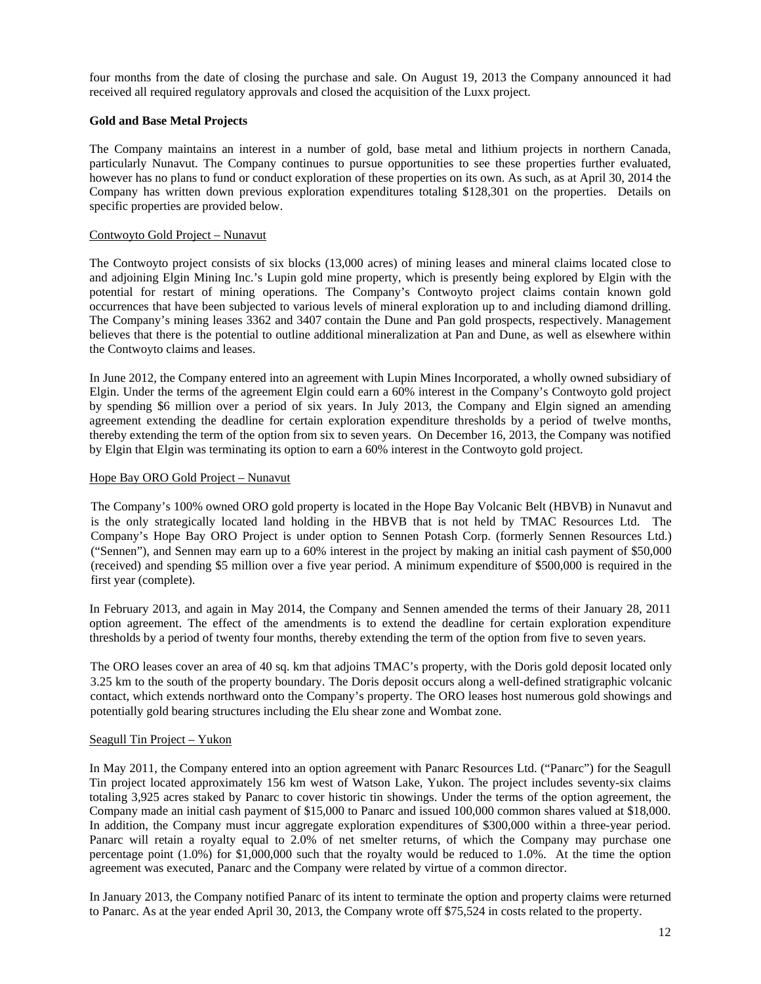four months from the date of closing the purchase and sale. On August 19, 2013 the Company announced it had received all required regulatory approvals and closed the acquisition of the Luxx project.

## **Gold and Base Metal Projects**

The Company maintains an interest in a number of gold, base metal and lithium projects in northern Canada, particularly Nunavut. The Company continues to pursue opportunities to see these properties further evaluated, however has no plans to fund or conduct exploration of these properties on its own. As such, as at April 30, 2014 the Company has written down previous exploration expenditures totaling \$128,301 on the properties. Details on specific properties are provided below.

## Contwoyto Gold Project – Nunavut

The Contwoyto project consists of six blocks (13,000 acres) of mining leases and mineral claims located close to and adjoining Elgin Mining Inc.'s Lupin gold mine property, which is presently being explored by Elgin with the potential for restart of mining operations. The Company's Contwoyto project claims contain known gold occurrences that have been subjected to various levels of mineral exploration up to and including diamond drilling. The Company's mining leases 3362 and 3407 contain the Dune and Pan gold prospects, respectively. Management believes that there is the potential to outline additional mineralization at Pan and Dune, as well as elsewhere within the Contwoyto claims and leases.

In June 2012, the Company entered into an agreement with Lupin Mines Incorporated, a wholly owned subsidiary of Elgin. Under the terms of the agreement Elgin could earn a 60% interest in the Company's Contwoyto gold project by spending \$6 million over a period of six years. In July 2013, the Company and Elgin signed an amending agreement extending the deadline for certain exploration expenditure thresholds by a period of twelve months, thereby extending the term of the option from six to seven years. On December 16, 2013, the Company was notified by Elgin that Elgin was terminating its option to earn a 60% interest in the Contwoyto gold project.

## Hope Bay ORO Gold Project – Nunavut

The Company's 100% owned ORO gold property is located in the Hope Bay Volcanic Belt (HBVB) in Nunavut and is the only strategically located land holding in the HBVB that is not held by TMAC Resources Ltd. The Company's Hope Bay ORO Project is under option to Sennen Potash Corp. (formerly Sennen Resources Ltd.) ("Sennen"), and Sennen may earn up to a 60% interest in the project by making an initial cash payment of \$50,000 (received) and spending \$5 million over a five year period. A minimum expenditure of \$500,000 is required in the first year (complete).

In February 2013, and again in May 2014, the Company and Sennen amended the terms of their January 28, 2011 option agreement. The effect of the amendments is to extend the deadline for certain exploration expenditure thresholds by a period of twenty four months, thereby extending the term of the option from five to seven years.

The ORO leases cover an area of 40 sq. km that adjoins TMAC's property, with the Doris gold deposit located only 3.25 km to the south of the property boundary. The Doris deposit occurs along a well-defined stratigraphic volcanic contact, which extends northward onto the Company's property. The ORO leases host numerous gold showings and potentially gold bearing structures including the Elu shear zone and Wombat zone.

## Seagull Tin Project – Yukon

In May 2011, the Company entered into an option agreement with Panarc Resources Ltd. ("Panarc") for the Seagull Tin project located approximately 156 km west of Watson Lake, Yukon. The project includes seventy-six claims totaling 3,925 acres staked by Panarc to cover historic tin showings. Under the terms of the option agreement, the Company made an initial cash payment of \$15,000 to Panarc and issued 100,000 common shares valued at \$18,000. In addition, the Company must incur aggregate exploration expenditures of \$300,000 within a three-year period. Panarc will retain a royalty equal to 2.0% of net smelter returns, of which the Company may purchase one percentage point (1.0%) for \$1,000,000 such that the royalty would be reduced to 1.0%. At the time the option agreement was executed, Panarc and the Company were related by virtue of a common director.

In January 2013, the Company notified Panarc of its intent to terminate the option and property claims were returned to Panarc. As at the year ended April 30, 2013, the Company wrote off \$75,524 in costs related to the property.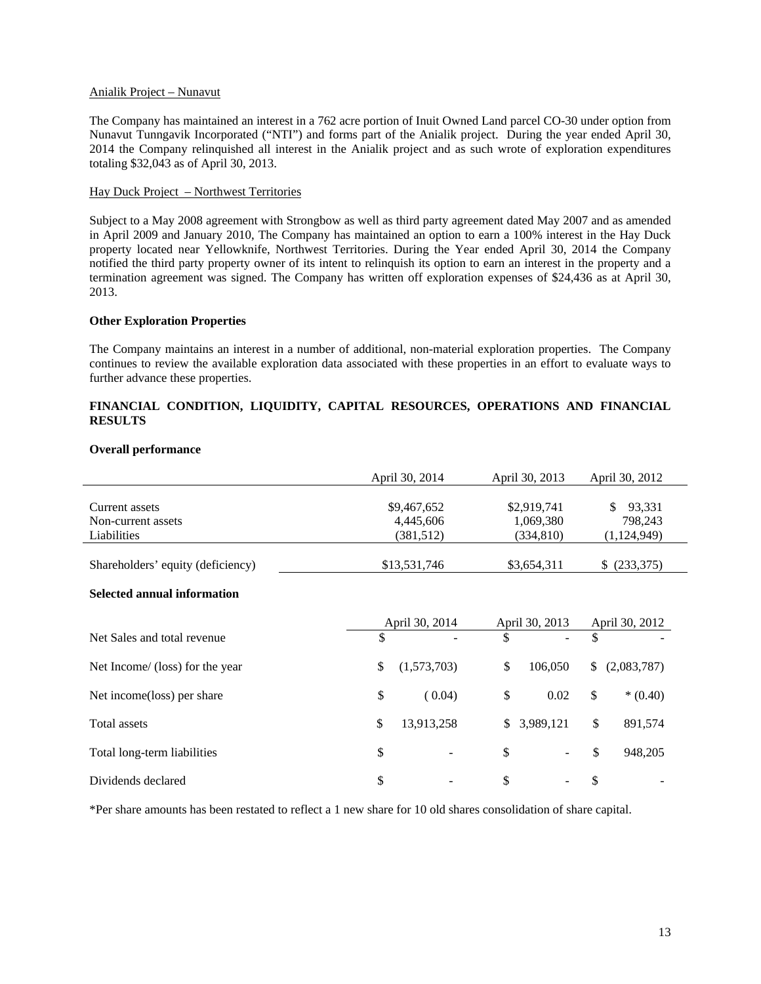#### Anialik Project – Nunavut

The Company has maintained an interest in a 762 acre portion of Inuit Owned Land parcel CO-30 under option from Nunavut Tunngavik Incorporated ("NTI") and forms part of the Anialik project. During the year ended April 30, 2014 the Company relinquished all interest in the Anialik project and as such wrote of exploration expenditures totaling \$32,043 as of April 30, 2013.

# Hay Duck Project – Northwest Territories

Subject to a May 2008 agreement with Strongbow as well as third party agreement dated May 2007 and as amended in April 2009 and January 2010, The Company has maintained an option to earn a 100% interest in the Hay Duck property located near Yellowknife, Northwest Territories. During the Year ended April 30, 2014 the Company notified the third party property owner of its intent to relinquish its option to earn an interest in the property and a termination agreement was signed. The Company has written off exploration expenses of \$24,436 as at April 30, 2013.

## **Other Exploration Properties**

The Company maintains an interest in a number of additional, non-material exploration properties. The Company continues to review the available exploration data associated with these properties in an effort to evaluate ways to further advance these properties.

# **FINANCIAL CONDITION, LIQUIDITY, CAPITAL RESOURCES, OPERATIONS AND FINANCIAL RESULTS**

|                                                     |                             | April 30, 2014                         | April 30, 2013                         |            | April 30, 2012                         |
|-----------------------------------------------------|-----------------------------|----------------------------------------|----------------------------------------|------------|----------------------------------------|
| Current assets<br>Non-current assets<br>Liabilities |                             | \$9,467,652<br>4,445,606<br>(381, 512) | \$2,919,741<br>1,069,380<br>(334, 810) |            | \$<br>93,331<br>798,243<br>(1,124,949) |
| Shareholders' equity (deficiency)                   | \$13,531,746<br>\$3,654,311 |                                        |                                        | (233, 375) |                                        |
| <b>Selected annual information</b>                  |                             |                                        |                                        |            |                                        |
| Net Sales and total revenue                         | \$                          | April 30, 2014                         | \$<br>April 30, 2013                   | S          | April 30, 2012                         |
| Net Income/ (loss) for the year                     | \$                          | (1,573,703)                            | \$<br>106,050                          | \$         | (2,083,787)                            |
| Net income(loss) per share                          | \$                          | (0.04)                                 | \$<br>0.02                             | \$         | $*(0.40)$                              |
| Total assets                                        | \$                          | 13,913,258                             | \$<br>3,989,121                        | \$         | 891,574                                |
| Total long-term liabilities                         | \$                          |                                        | \$                                     | \$         | 948,205                                |
| Dividends declared                                  | \$                          |                                        | \$                                     | \$         |                                        |

# **Overall performance**

\*Per share amounts has been restated to reflect a 1 new share for 10 old shares consolidation of share capital.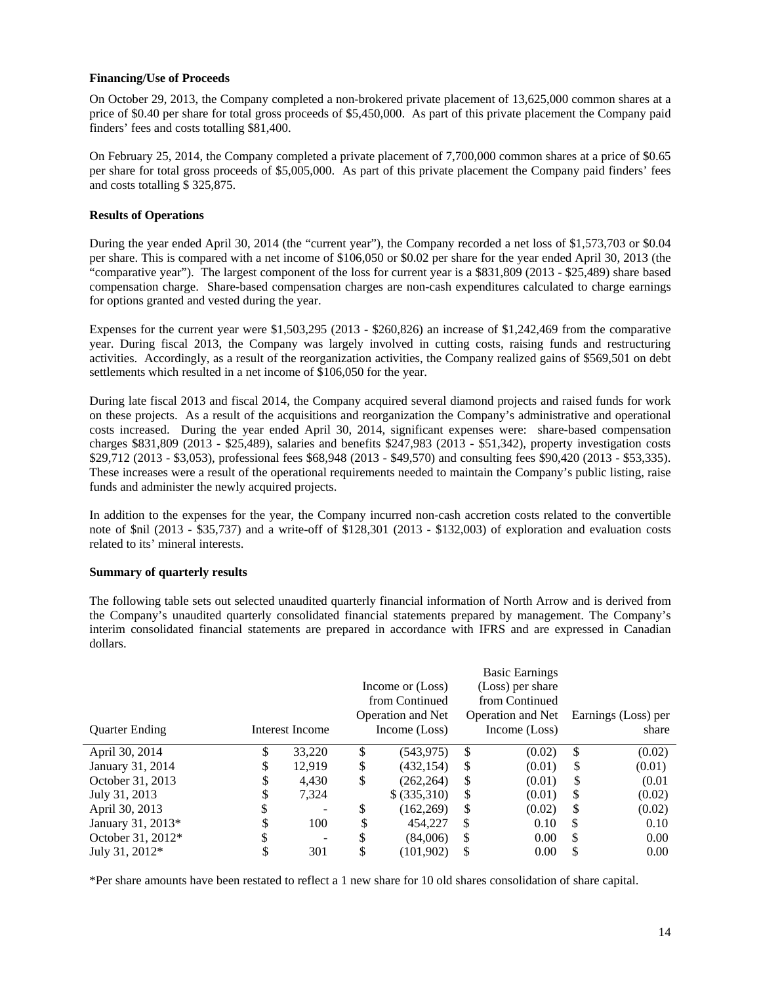## **Financing/Use of Proceeds**

On October 29, 2013, the Company completed a non-brokered private placement of 13,625,000 common shares at a price of \$0.40 per share for total gross proceeds of \$5,450,000. As part of this private placement the Company paid finders' fees and costs totalling \$81,400.

On February 25, 2014, the Company completed a private placement of 7,700,000 common shares at a price of \$0.65 per share for total gross proceeds of \$5,005,000. As part of this private placement the Company paid finders' fees and costs totalling \$ 325,875.

# **Results of Operations**

During the year ended April 30, 2014 (the "current year"), the Company recorded a net loss of \$1,573,703 or \$0.04 per share. This is compared with a net income of \$106,050 or \$0.02 per share for the year ended April 30, 2013 (the "comparative year"). The largest component of the loss for current year is a \$831,809 (2013 - \$25,489) share based compensation charge. Share-based compensation charges are non-cash expenditures calculated to charge earnings for options granted and vested during the year.

Expenses for the current year were \$1,503,295 (2013 - \$260,826) an increase of \$1,242,469 from the comparative year. During fiscal 2013, the Company was largely involved in cutting costs, raising funds and restructuring activities. Accordingly, as a result of the reorganization activities, the Company realized gains of \$569,501 on debt settlements which resulted in a net income of \$106,050 for the year.

During late fiscal 2013 and fiscal 2014, the Company acquired several diamond projects and raised funds for work on these projects. As a result of the acquisitions and reorganization the Company's administrative and operational costs increased. During the year ended April 30, 2014, significant expenses were: share-based compensation charges \$831,809 (2013 - \$25,489), salaries and benefits \$247,983 (2013 - \$51,342), property investigation costs \$29,712 (2013 - \$3,053), professional fees \$68,948 (2013 - \$49,570) and consulting fees \$90,420 (2013 - \$53,335). These increases were a result of the operational requirements needed to maintain the Company's public listing, raise funds and administer the newly acquired projects.

In addition to the expenses for the year, the Company incurred non-cash accretion costs related to the convertible note of \$nil (2013 - \$35,737) and a write-off of \$128,301 (2013 - \$132,003) of exploration and evaluation costs related to its' mineral interests.

#### **Summary of quarterly results**

The following table sets out selected unaudited quarterly financial information of North Arrow and is derived from the Company's unaudited quarterly consolidated financial statements prepared by management. The Company's interim consolidated financial statements are prepared in accordance with IFRS and are expressed in Canadian dollars.

|                       |    |                 | <b>Basic Earnings</b> |                          |    |                          |                     |
|-----------------------|----|-----------------|-----------------------|--------------------------|----|--------------------------|---------------------|
|                       |    |                 |                       | Income or (Loss)         |    | (Loss) per share         |                     |
|                       |    |                 |                       | from Continued           |    | from Continued           |                     |
|                       |    |                 |                       | <b>Operation and Net</b> |    | <b>Operation and Net</b> | Earnings (Loss) per |
| <b>Quarter Ending</b> |    | Interest Income |                       | Income (Loss)            |    | Income (Loss)            | share               |
| April 30, 2014        | \$ | 33,220          | \$                    | (543, 975)               | \$ | (0.02)                   | \$<br>(0.02)        |
| January 31, 2014      | S  | 12,919          | \$                    | (432, 154)               | \$ | (0.01)                   | \$<br>(0.01)        |
| October 31, 2013      | \$ | 4,430           | \$                    | (262, 264)               | S  | (0.01)                   | \$<br>(0.01)        |
| July 31, 2013         | S  | 7,324           |                       | \$ (335,310)             | \$ | (0.01)                   | \$<br>(0.02)        |
| April 30, 2013        | \$ | -               | \$                    | (162, 269)               | \$ | (0.02)                   | \$<br>(0.02)        |
| January 31, 2013*     |    | 100             | \$                    | 454,227                  | \$ | 0.10                     | \$<br>0.10          |
| October 31, 2012*     | \$ | -               | S                     | (84,006)                 | \$ | 0.00                     | \$<br>0.00          |
| July 31, 2012*        |    | 301             |                       | (101,902)                | \$ | 0.00                     | \$<br>0.00          |

\*Per share amounts have been restated to reflect a 1 new share for 10 old shares consolidation of share capital.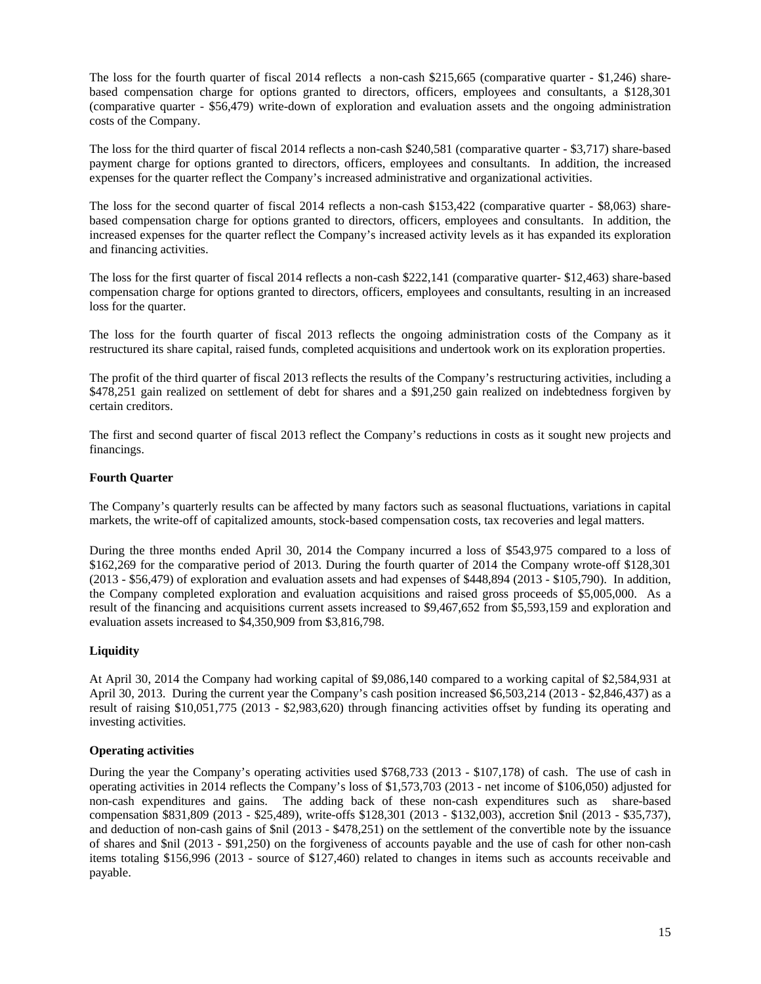The loss for the fourth quarter of fiscal 2014 reflects a non-cash \$215,665 (comparative quarter - \$1,246) sharebased compensation charge for options granted to directors, officers, employees and consultants, a \$128,301 (comparative quarter - \$56,479) write-down of exploration and evaluation assets and the ongoing administration costs of the Company.

The loss for the third quarter of fiscal 2014 reflects a non-cash \$240,581 (comparative quarter - \$3,717) share-based payment charge for options granted to directors, officers, employees and consultants. In addition, the increased expenses for the quarter reflect the Company's increased administrative and organizational activities.

The loss for the second quarter of fiscal 2014 reflects a non-cash \$153,422 (comparative quarter - \$8,063) sharebased compensation charge for options granted to directors, officers, employees and consultants. In addition, the increased expenses for the quarter reflect the Company's increased activity levels as it has expanded its exploration and financing activities.

The loss for the first quarter of fiscal 2014 reflects a non-cash \$222,141 (comparative quarter- \$12,463) share-based compensation charge for options granted to directors, officers, employees and consultants, resulting in an increased loss for the quarter.

The loss for the fourth quarter of fiscal 2013 reflects the ongoing administration costs of the Company as it restructured its share capital, raised funds, completed acquisitions and undertook work on its exploration properties.

The profit of the third quarter of fiscal 2013 reflects the results of the Company's restructuring activities, including a \$478,251 gain realized on settlement of debt for shares and a \$91,250 gain realized on indebtedness forgiven by certain creditors.

The first and second quarter of fiscal 2013 reflect the Company's reductions in costs as it sought new projects and financings.

## **Fourth Quarter**

The Company's quarterly results can be affected by many factors such as seasonal fluctuations, variations in capital markets, the write-off of capitalized amounts, stock-based compensation costs, tax recoveries and legal matters.

During the three months ended April 30, 2014 the Company incurred a loss of \$543,975 compared to a loss of \$162,269 for the comparative period of 2013. During the fourth quarter of 2014 the Company wrote-off \$128,301 (2013 - \$56,479) of exploration and evaluation assets and had expenses of \$448,894 (2013 - \$105,790). In addition, the Company completed exploration and evaluation acquisitions and raised gross proceeds of \$5,005,000. As a result of the financing and acquisitions current assets increased to \$9,467,652 from \$5,593,159 and exploration and evaluation assets increased to \$4,350,909 from \$3,816,798.

#### **Liquidity**

At April 30, 2014 the Company had working capital of \$9,086,140 compared to a working capital of \$2,584,931 at April 30, 2013. During the current year the Company's cash position increased \$6,503,214 (2013 - \$2,846,437) as a result of raising \$10,051,775 (2013 - \$2,983,620) through financing activities offset by funding its operating and investing activities.

#### **Operating activities**

During the year the Company's operating activities used \$768,733 (2013 - \$107,178) of cash. The use of cash in operating activities in 2014 reflects the Company's loss of \$1,573,703 (2013 - net income of \$106,050) adjusted for non-cash expenditures and gains. The adding back of these non-cash expenditures such as share-based compensation \$831,809 (2013 - \$25,489), write-offs \$128,301 (2013 - \$132,003), accretion \$nil (2013 - \$35,737), and deduction of non-cash gains of \$nil (2013 - \$478,251) on the settlement of the convertible note by the issuance of shares and \$nil (2013 - \$91,250) on the forgiveness of accounts payable and the use of cash for other non-cash items totaling \$156,996 (2013 - source of \$127,460) related to changes in items such as accounts receivable and payable.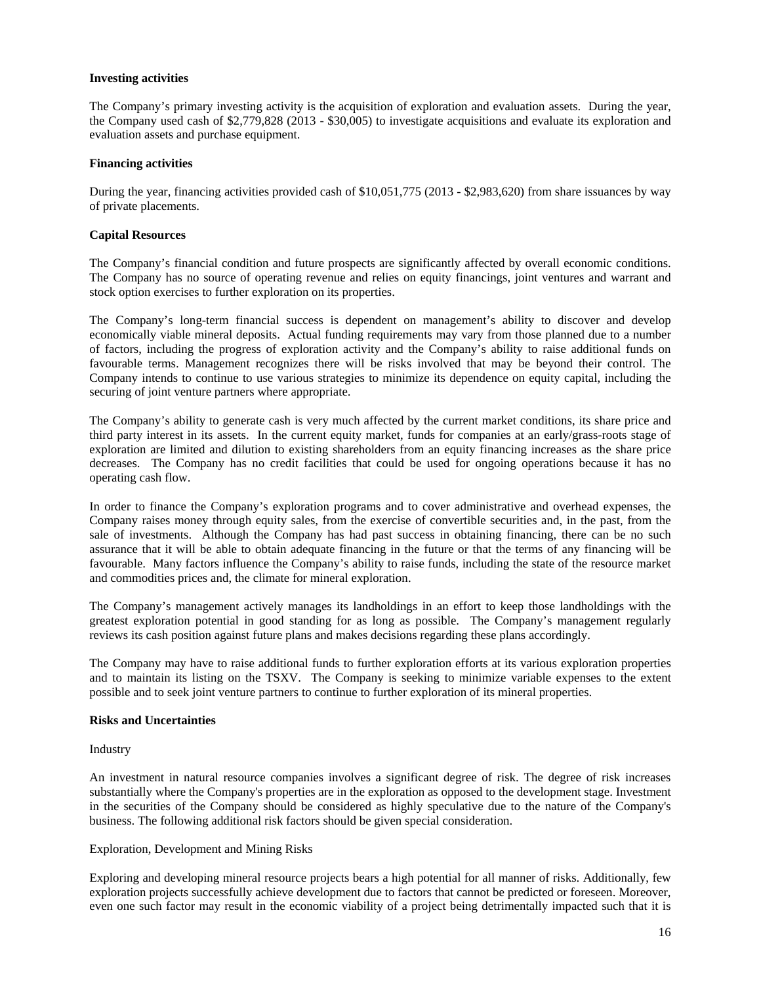## **Investing activities**

The Company's primary investing activity is the acquisition of exploration and evaluation assets. During the year, the Company used cash of \$2,779,828 (2013 - \$30,005) to investigate acquisitions and evaluate its exploration and evaluation assets and purchase equipment.

## **Financing activities**

During the year, financing activities provided cash of \$10,051,775 (2013 - \$2,983,620) from share issuances by way of private placements.

## **Capital Resources**

The Company's financial condition and future prospects are significantly affected by overall economic conditions. The Company has no source of operating revenue and relies on equity financings, joint ventures and warrant and stock option exercises to further exploration on its properties.

The Company's long-term financial success is dependent on management's ability to discover and develop economically viable mineral deposits. Actual funding requirements may vary from those planned due to a number of factors, including the progress of exploration activity and the Company's ability to raise additional funds on favourable terms. Management recognizes there will be risks involved that may be beyond their control. The Company intends to continue to use various strategies to minimize its dependence on equity capital, including the securing of joint venture partners where appropriate.

The Company's ability to generate cash is very much affected by the current market conditions, its share price and third party interest in its assets. In the current equity market, funds for companies at an early/grass-roots stage of exploration are limited and dilution to existing shareholders from an equity financing increases as the share price decreases. The Company has no credit facilities that could be used for ongoing operations because it has no operating cash flow.

In order to finance the Company's exploration programs and to cover administrative and overhead expenses, the Company raises money through equity sales, from the exercise of convertible securities and, in the past, from the sale of investments. Although the Company has had past success in obtaining financing, there can be no such assurance that it will be able to obtain adequate financing in the future or that the terms of any financing will be favourable. Many factors influence the Company's ability to raise funds, including the state of the resource market and commodities prices and, the climate for mineral exploration.

The Company's management actively manages its landholdings in an effort to keep those landholdings with the greatest exploration potential in good standing for as long as possible. The Company's management regularly reviews its cash position against future plans and makes decisions regarding these plans accordingly.

The Company may have to raise additional funds to further exploration efforts at its various exploration properties and to maintain its listing on the TSXV. The Company is seeking to minimize variable expenses to the extent possible and to seek joint venture partners to continue to further exploration of its mineral properties.

#### **Risks and Uncertainties**

## Industry

An investment in natural resource companies involves a significant degree of risk. The degree of risk increases substantially where the Company's properties are in the exploration as opposed to the development stage. Investment in the securities of the Company should be considered as highly speculative due to the nature of the Company's business. The following additional risk factors should be given special consideration.

#### Exploration, Development and Mining Risks

Exploring and developing mineral resource projects bears a high potential for all manner of risks. Additionally, few exploration projects successfully achieve development due to factors that cannot be predicted or foreseen. Moreover, even one such factor may result in the economic viability of a project being detrimentally impacted such that it is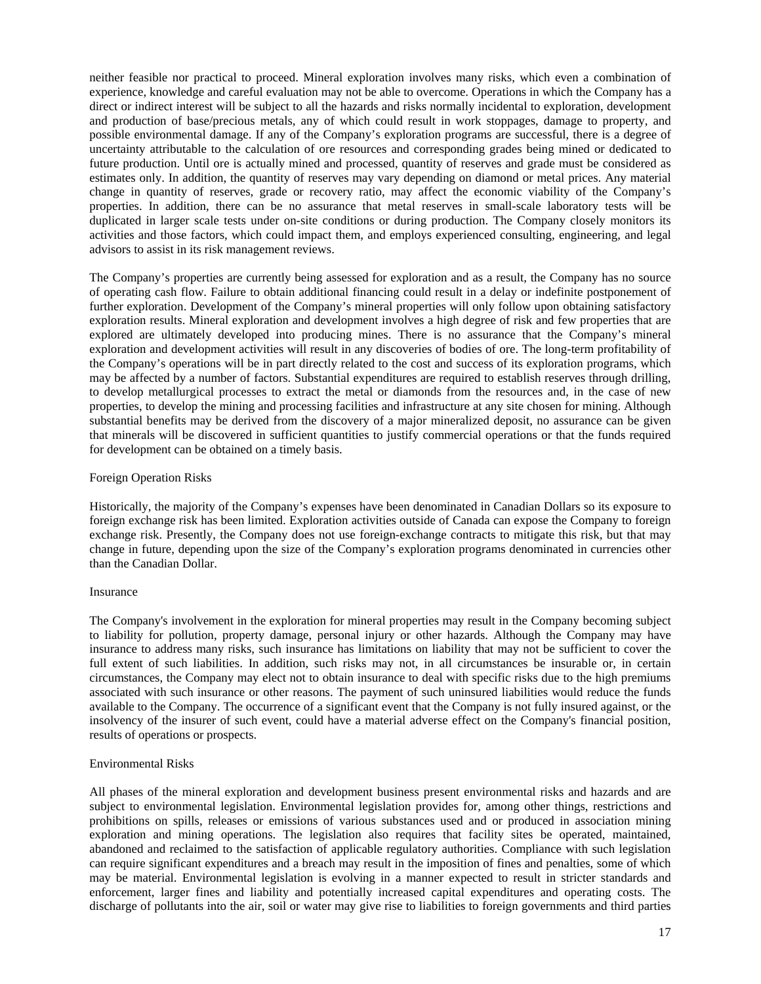neither feasible nor practical to proceed. Mineral exploration involves many risks, which even a combination of experience, knowledge and careful evaluation may not be able to overcome. Operations in which the Company has a direct or indirect interest will be subject to all the hazards and risks normally incidental to exploration, development and production of base/precious metals, any of which could result in work stoppages, damage to property, and possible environmental damage. If any of the Company's exploration programs are successful, there is a degree of uncertainty attributable to the calculation of ore resources and corresponding grades being mined or dedicated to future production. Until ore is actually mined and processed, quantity of reserves and grade must be considered as estimates only. In addition, the quantity of reserves may vary depending on diamond or metal prices. Any material change in quantity of reserves, grade or recovery ratio, may affect the economic viability of the Company's properties. In addition, there can be no assurance that metal reserves in small-scale laboratory tests will be duplicated in larger scale tests under on-site conditions or during production. The Company closely monitors its activities and those factors, which could impact them, and employs experienced consulting, engineering, and legal advisors to assist in its risk management reviews.

The Company's properties are currently being assessed for exploration and as a result, the Company has no source of operating cash flow. Failure to obtain additional financing could result in a delay or indefinite postponement of further exploration. Development of the Company's mineral properties will only follow upon obtaining satisfactory exploration results. Mineral exploration and development involves a high degree of risk and few properties that are explored are ultimately developed into producing mines. There is no assurance that the Company's mineral exploration and development activities will result in any discoveries of bodies of ore. The long-term profitability of the Company's operations will be in part directly related to the cost and success of its exploration programs, which may be affected by a number of factors. Substantial expenditures are required to establish reserves through drilling, to develop metallurgical processes to extract the metal or diamonds from the resources and, in the case of new properties, to develop the mining and processing facilities and infrastructure at any site chosen for mining. Although substantial benefits may be derived from the discovery of a major mineralized deposit, no assurance can be given that minerals will be discovered in sufficient quantities to justify commercial operations or that the funds required for development can be obtained on a timely basis.

#### Foreign Operation Risks

Historically, the majority of the Company's expenses have been denominated in Canadian Dollars so its exposure to foreign exchange risk has been limited. Exploration activities outside of Canada can expose the Company to foreign exchange risk. Presently, the Company does not use foreign-exchange contracts to mitigate this risk, but that may change in future, depending upon the size of the Company's exploration programs denominated in currencies other than the Canadian Dollar.

#### Insurance

The Company's involvement in the exploration for mineral properties may result in the Company becoming subject to liability for pollution, property damage, personal injury or other hazards. Although the Company may have insurance to address many risks, such insurance has limitations on liability that may not be sufficient to cover the full extent of such liabilities. In addition, such risks may not, in all circumstances be insurable or, in certain circumstances, the Company may elect not to obtain insurance to deal with specific risks due to the high premiums associated with such insurance or other reasons. The payment of such uninsured liabilities would reduce the funds available to the Company. The occurrence of a significant event that the Company is not fully insured against, or the insolvency of the insurer of such event, could have a material adverse effect on the Company's financial position, results of operations or prospects.

#### Environmental Risks

All phases of the mineral exploration and development business present environmental risks and hazards and are subject to environmental legislation. Environmental legislation provides for, among other things, restrictions and prohibitions on spills, releases or emissions of various substances used and or produced in association mining exploration and mining operations. The legislation also requires that facility sites be operated, maintained, abandoned and reclaimed to the satisfaction of applicable regulatory authorities. Compliance with such legislation can require significant expenditures and a breach may result in the imposition of fines and penalties, some of which may be material. Environmental legislation is evolving in a manner expected to result in stricter standards and enforcement, larger fines and liability and potentially increased capital expenditures and operating costs. The discharge of pollutants into the air, soil or water may give rise to liabilities to foreign governments and third parties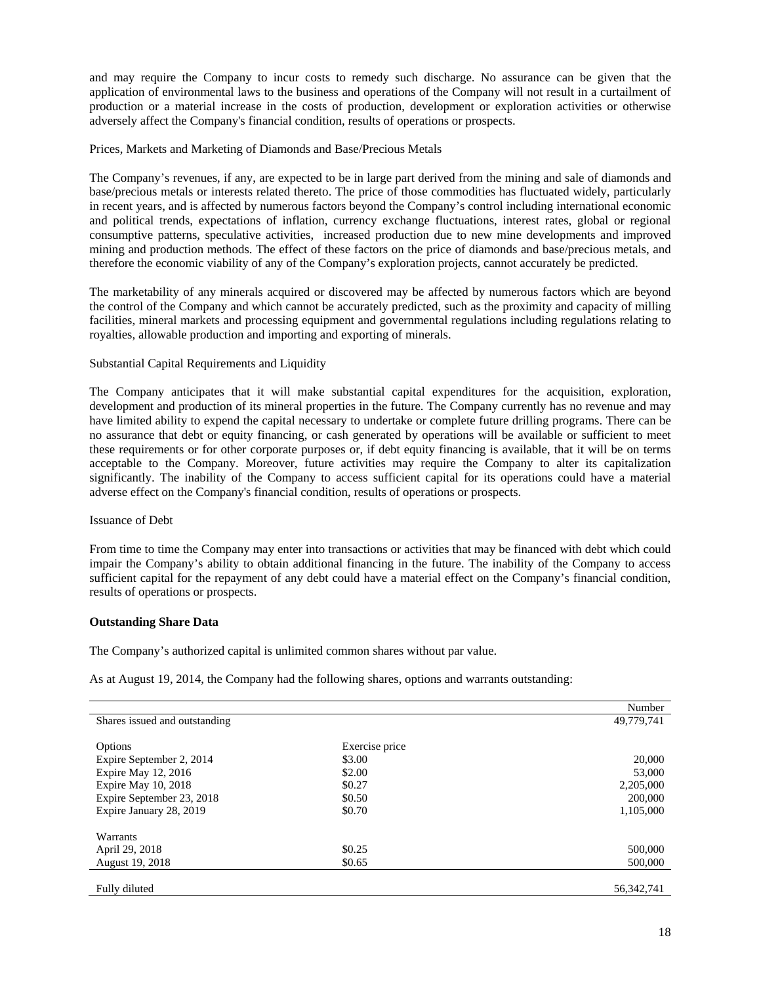and may require the Company to incur costs to remedy such discharge. No assurance can be given that the application of environmental laws to the business and operations of the Company will not result in a curtailment of production or a material increase in the costs of production, development or exploration activities or otherwise adversely affect the Company's financial condition, results of operations or prospects.

## Prices, Markets and Marketing of Diamonds and Base/Precious Metals

The Company's revenues, if any, are expected to be in large part derived from the mining and sale of diamonds and base/precious metals or interests related thereto. The price of those commodities has fluctuated widely, particularly in recent years, and is affected by numerous factors beyond the Company's control including international economic and political trends, expectations of inflation, currency exchange fluctuations, interest rates, global or regional consumptive patterns, speculative activities, increased production due to new mine developments and improved mining and production methods. The effect of these factors on the price of diamonds and base/precious metals, and therefore the economic viability of any of the Company's exploration projects, cannot accurately be predicted.

The marketability of any minerals acquired or discovered may be affected by numerous factors which are beyond the control of the Company and which cannot be accurately predicted, such as the proximity and capacity of milling facilities, mineral markets and processing equipment and governmental regulations including regulations relating to royalties, allowable production and importing and exporting of minerals.

# Substantial Capital Requirements and Liquidity

The Company anticipates that it will make substantial capital expenditures for the acquisition, exploration, development and production of its mineral properties in the future. The Company currently has no revenue and may have limited ability to expend the capital necessary to undertake or complete future drilling programs. There can be no assurance that debt or equity financing, or cash generated by operations will be available or sufficient to meet these requirements or for other corporate purposes or, if debt equity financing is available, that it will be on terms acceptable to the Company. Moreover, future activities may require the Company to alter its capitalization significantly. The inability of the Company to access sufficient capital for its operations could have a material adverse effect on the Company's financial condition, results of operations or prospects.

## Issuance of Debt

From time to time the Company may enter into transactions or activities that may be financed with debt which could impair the Company's ability to obtain additional financing in the future. The inability of the Company to access sufficient capital for the repayment of any debt could have a material effect on the Company's financial condition, results of operations or prospects.

#### **Outstanding Share Data**

The Company's authorized capital is unlimited common shares without par value.

As at August 19, 2014, the Company had the following shares, options and warrants outstanding:

|                               |                | Number     |
|-------------------------------|----------------|------------|
| Shares issued and outstanding |                | 49,779,741 |
|                               |                |            |
| Options                       | Exercise price |            |
| Expire September 2, 2014      | \$3.00         | 20,000     |
| Expire May 12, 2016           | \$2.00         | 53,000     |
| Expire May 10, 2018           | \$0.27         | 2,205,000  |
| Expire September 23, 2018     | \$0.50         | 200,000    |
| Expire January 28, 2019       | \$0.70         | 1,105,000  |
| Warrants                      |                |            |
| April 29, 2018                | \$0.25         | 500,000    |
| August 19, 2018               | \$0.65         | 500,000    |
|                               |                |            |
| Fully diluted                 |                | 56.342.741 |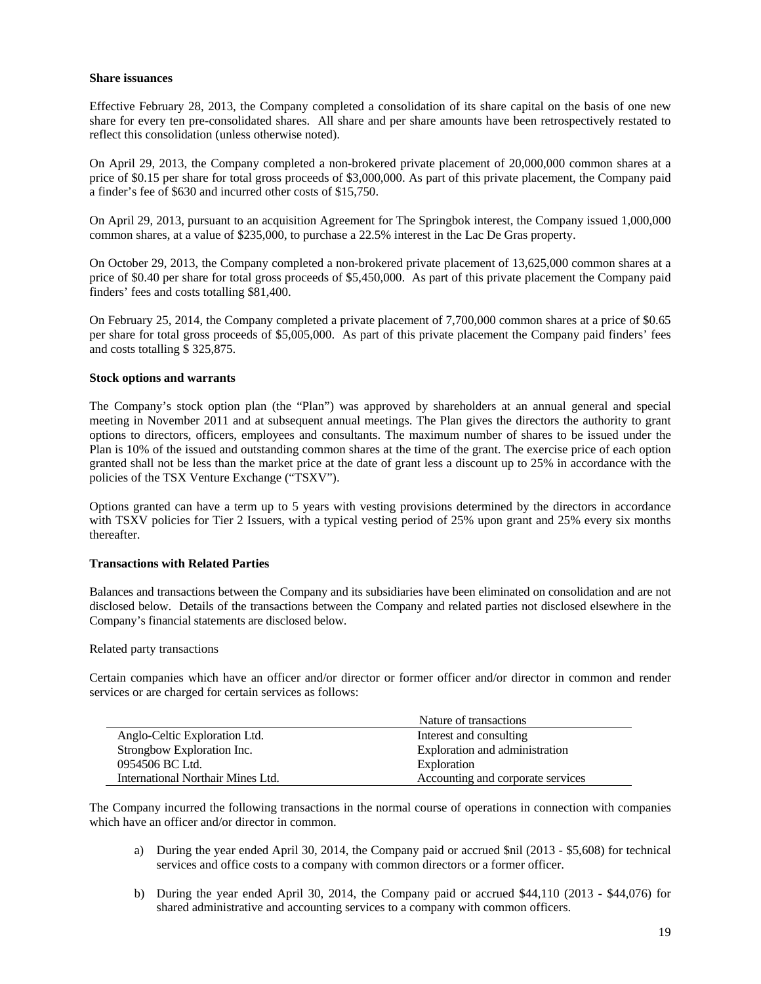#### **Share issuances**

Effective February 28, 2013, the Company completed a consolidation of its share capital on the basis of one new share for every ten pre-consolidated shares. All share and per share amounts have been retrospectively restated to reflect this consolidation (unless otherwise noted).

On April 29, 2013, the Company completed a non-brokered private placement of 20,000,000 common shares at a price of \$0.15 per share for total gross proceeds of \$3,000,000. As part of this private placement, the Company paid a finder's fee of \$630 and incurred other costs of \$15,750.

On April 29, 2013, pursuant to an acquisition Agreement for The Springbok interest, the Company issued 1,000,000 common shares, at a value of \$235,000, to purchase a 22.5% interest in the Lac De Gras property.

On October 29, 2013, the Company completed a non-brokered private placement of 13,625,000 common shares at a price of \$0.40 per share for total gross proceeds of \$5,450,000. As part of this private placement the Company paid finders' fees and costs totalling \$81,400.

On February 25, 2014, the Company completed a private placement of 7,700,000 common shares at a price of \$0.65 per share for total gross proceeds of \$5,005,000. As part of this private placement the Company paid finders' fees and costs totalling \$ 325,875.

## **Stock options and warrants**

The Company's stock option plan (the "Plan") was approved by shareholders at an annual general and special meeting in November 2011 and at subsequent annual meetings. The Plan gives the directors the authority to grant options to directors, officers, employees and consultants. The maximum number of shares to be issued under the Plan is 10% of the issued and outstanding common shares at the time of the grant. The exercise price of each option granted shall not be less than the market price at the date of grant less a discount up to 25% in accordance with the policies of the TSX Venture Exchange ("TSXV").

Options granted can have a term up to 5 years with vesting provisions determined by the directors in accordance with TSXV policies for Tier 2 Issuers, with a typical vesting period of 25% upon grant and 25% every six months thereafter.

### **Transactions with Related Parties**

Balances and transactions between the Company and its subsidiaries have been eliminated on consolidation and are not disclosed below. Details of the transactions between the Company and related parties not disclosed elsewhere in the Company's financial statements are disclosed below.

#### Related party transactions

Certain companies which have an officer and/or director or former officer and/or director in common and render services or are charged for certain services as follows:

|                                   | Nature of transactions            |
|-----------------------------------|-----------------------------------|
| Anglo-Celtic Exploration Ltd.     | Interest and consulting           |
| Strongbow Exploration Inc.        | Exploration and administration    |
| 0954506 BC Ltd.                   | Exploration                       |
| International Northair Mines Ltd. | Accounting and corporate services |

The Company incurred the following transactions in the normal course of operations in connection with companies which have an officer and/or director in common.

- a) During the year ended April 30, 2014, the Company paid or accrued \$nil (2013 \$5,608) for technical services and office costs to a company with common directors or a former officer.
- b) During the year ended April 30, 2014, the Company paid or accrued \$44,110 (2013 \$44,076) for shared administrative and accounting services to a company with common officers.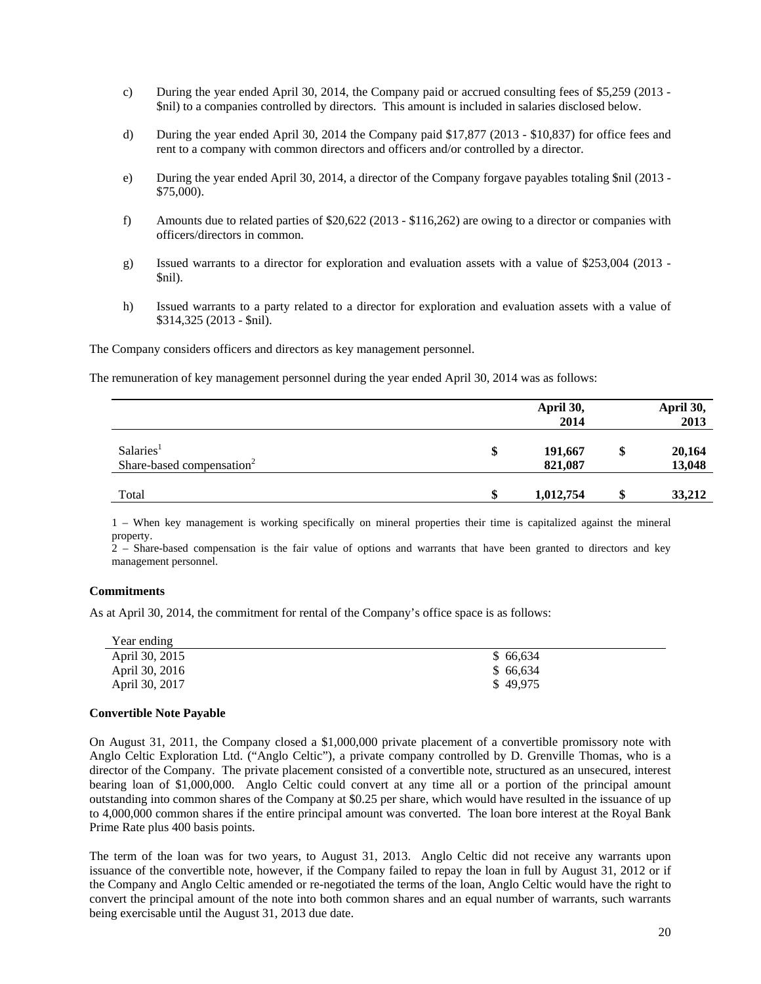- c) During the year ended April 30, 2014, the Company paid or accrued consulting fees of \$5,259 (2013 \$nil) to a companies controlled by directors. This amount is included in salaries disclosed below.
- d) During the year ended April 30, 2014 the Company paid \$17,877 (2013 \$10,837) for office fees and rent to a company with common directors and officers and/or controlled by a director.
- e) During the year ended April 30, 2014, a director of the Company forgave payables totaling \$nil (2013 \$75,000).
- f) Amounts due to related parties of \$20,622 (2013 \$116,262) are owing to a director or companies with officers/directors in common.
- g) Issued warrants to a director for exploration and evaluation assets with a value of \$253,004 (2013 \$nil).
- h) Issued warrants to a party related to a director for exploration and evaluation assets with a value of \$314,325 (2013 - \$nil).

The Company considers officers and directors as key management personnel.

The remuneration of key management personnel during the year ended April 30, 2014 was as follows:

|                                       | April 30,       |        | April 30, |
|---------------------------------------|-----------------|--------|-----------|
|                                       | 2014            |        | 2013      |
| Salaries <sup>1</sup>                 | \$<br>191,667   | S      | 20,164    |
| Share-based compensation <sup>2</sup> | 821,087         |        | 13,048    |
| Total                                 | \$<br>1,012,754 | ¢<br>æ | 33,212    |
|                                       |                 |        |           |

1 – When key management is working specifically on mineral properties their time is capitalized against the mineral property.

2 – Share-based compensation is the fair value of options and warrants that have been granted to directors and key management personnel.

# **Commitments**

As at April 30, 2014, the commitment for rental of the Company's office space is as follows:

| Year ending    |          |
|----------------|----------|
| April 30, 2015 | \$66,634 |
| April 30, 2016 | \$66,634 |
| April 30, 2017 | \$49,975 |

#### **Convertible Note Payable**

On August 31, 2011, the Company closed a \$1,000,000 private placement of a convertible promissory note with Anglo Celtic Exploration Ltd. ("Anglo Celtic"), a private company controlled by D. Grenville Thomas, who is a director of the Company. The private placement consisted of a convertible note, structured as an unsecured, interest bearing loan of \$1,000,000. Anglo Celtic could convert at any time all or a portion of the principal amount outstanding into common shares of the Company at \$0.25 per share, which would have resulted in the issuance of up to 4,000,000 common shares if the entire principal amount was converted. The loan bore interest at the Royal Bank Prime Rate plus 400 basis points.

The term of the loan was for two years, to August 31, 2013. Anglo Celtic did not receive any warrants upon issuance of the convertible note, however, if the Company failed to repay the loan in full by August 31, 2012 or if the Company and Anglo Celtic amended or re-negotiated the terms of the loan, Anglo Celtic would have the right to convert the principal amount of the note into both common shares and an equal number of warrants, such warrants being exercisable until the August 31, 2013 due date.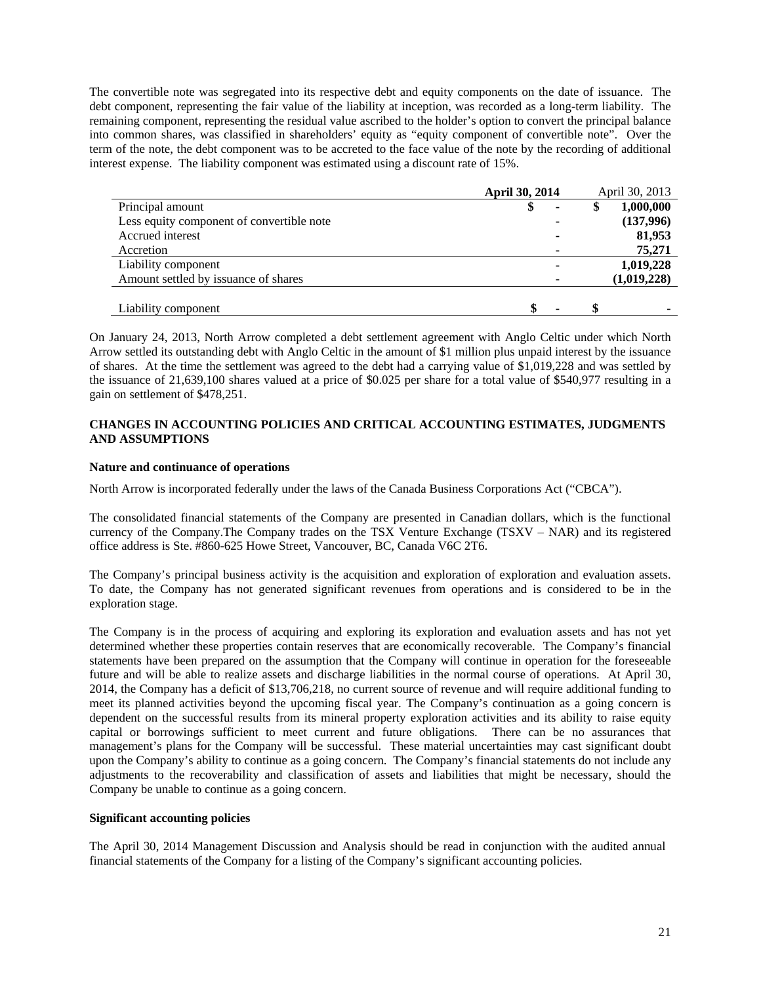The convertible note was segregated into its respective debt and equity components on the date of issuance. The debt component, representing the fair value of the liability at inception, was recorded as a long-term liability. The remaining component, representing the residual value ascribed to the holder's option to convert the principal balance into common shares, was classified in shareholders' equity as "equity component of convertible note". Over the term of the note, the debt component was to be accreted to the face value of the note by the recording of additional interest expense. The liability component was estimated using a discount rate of 15%.

|                                           | April 30, 2014 | April 30, 2013  |
|-------------------------------------------|----------------|-----------------|
| Principal amount                          | Φ              | \$<br>1,000,000 |
| Less equity component of convertible note |                | (137,996)       |
| Accrued interest                          |                | 81,953          |
| Accretion                                 |                | 75,271          |
| Liability component                       |                | 1,019,228       |
| Amount settled by issuance of shares      |                | (1,019,228)     |
|                                           |                |                 |
| Liability component                       |                |                 |

On January 24, 2013, North Arrow completed a debt settlement agreement with Anglo Celtic under which North Arrow settled its outstanding debt with Anglo Celtic in the amount of \$1 million plus unpaid interest by the issuance of shares. At the time the settlement was agreed to the debt had a carrying value of \$1,019,228 and was settled by the issuance of 21,639,100 shares valued at a price of \$0.025 per share for a total value of \$540,977 resulting in a gain on settlement of \$478,251.

# **CHANGES IN ACCOUNTING POLICIES AND CRITICAL ACCOUNTING ESTIMATES, JUDGMENTS AND ASSUMPTIONS**

## **Nature and continuance of operations**

North Arrow is incorporated federally under the laws of the Canada Business Corporations Act ("CBCA").

The consolidated financial statements of the Company are presented in Canadian dollars, which is the functional currency of the Company.The Company trades on the TSX Venture Exchange (TSXV – NAR) and its registered office address is Ste. #860-625 Howe Street, Vancouver, BC, Canada V6C 2T6.

The Company's principal business activity is the acquisition and exploration of exploration and evaluation assets. To date, the Company has not generated significant revenues from operations and is considered to be in the exploration stage.

The Company is in the process of acquiring and exploring its exploration and evaluation assets and has not yet determined whether these properties contain reserves that are economically recoverable. The Company's financial statements have been prepared on the assumption that the Company will continue in operation for the foreseeable future and will be able to realize assets and discharge liabilities in the normal course of operations. At April 30, 2014, the Company has a deficit of \$13,706,218, no current source of revenue and will require additional funding to meet its planned activities beyond the upcoming fiscal year. The Company's continuation as a going concern is dependent on the successful results from its mineral property exploration activities and its ability to raise equity capital or borrowings sufficient to meet current and future obligations. There can be no assurances that management's plans for the Company will be successful. These material uncertainties may cast significant doubt upon the Company's ability to continue as a going concern. The Company's financial statements do not include any adjustments to the recoverability and classification of assets and liabilities that might be necessary, should the Company be unable to continue as a going concern.

#### **Significant accounting policies**

The April 30, 2014 Management Discussion and Analysis should be read in conjunction with the audited annual financial statements of the Company for a listing of the Company's significant accounting policies.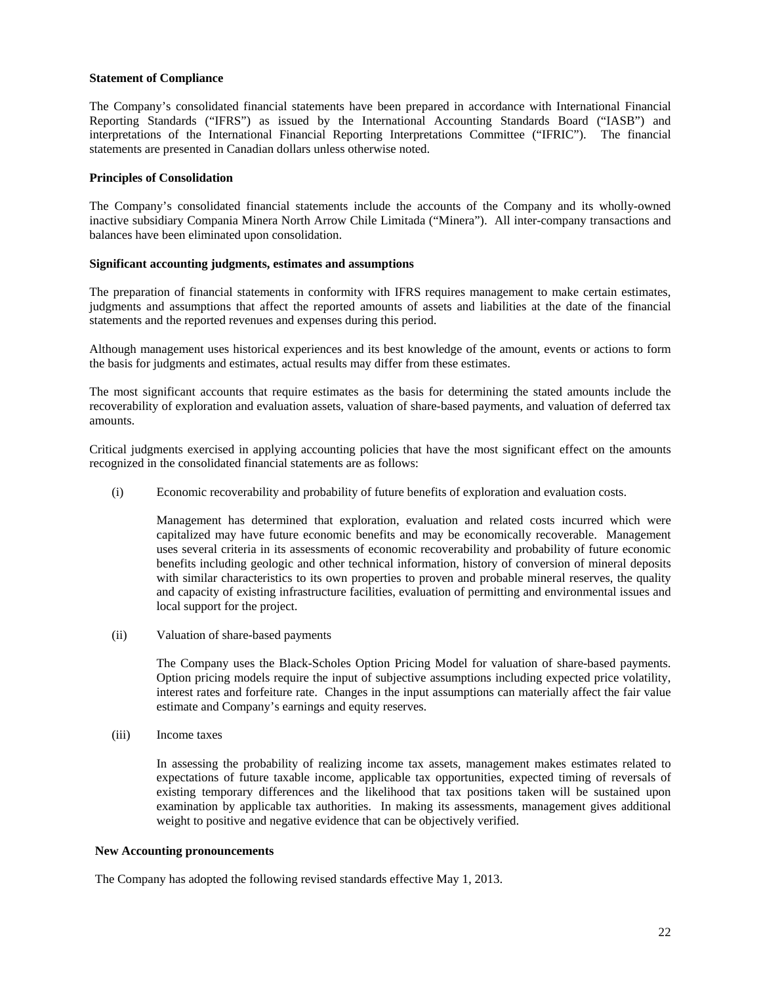## **Statement of Compliance**

The Company's consolidated financial statements have been prepared in accordance with International Financial Reporting Standards ("IFRS") as issued by the International Accounting Standards Board ("IASB") and interpretations of the International Financial Reporting Interpretations Committee ("IFRIC"). The financial statements are presented in Canadian dollars unless otherwise noted.

## **Principles of Consolidation**

The Company's consolidated financial statements include the accounts of the Company and its wholly-owned inactive subsidiary Compania Minera North Arrow Chile Limitada ("Minera"). All inter-company transactions and balances have been eliminated upon consolidation.

## **Significant accounting judgments, estimates and assumptions**

The preparation of financial statements in conformity with IFRS requires management to make certain estimates, judgments and assumptions that affect the reported amounts of assets and liabilities at the date of the financial statements and the reported revenues and expenses during this period.

Although management uses historical experiences and its best knowledge of the amount, events or actions to form the basis for judgments and estimates, actual results may differ from these estimates.

The most significant accounts that require estimates as the basis for determining the stated amounts include the recoverability of exploration and evaluation assets, valuation of share-based payments, and valuation of deferred tax amounts.

Critical judgments exercised in applying accounting policies that have the most significant effect on the amounts recognized in the consolidated financial statements are as follows:

(i) Economic recoverability and probability of future benefits of exploration and evaluation costs.

 Management has determined that exploration, evaluation and related costs incurred which were capitalized may have future economic benefits and may be economically recoverable. Management uses several criteria in its assessments of economic recoverability and probability of future economic benefits including geologic and other technical information, history of conversion of mineral deposits with similar characteristics to its own properties to proven and probable mineral reserves, the quality and capacity of existing infrastructure facilities, evaluation of permitting and environmental issues and local support for the project.

(ii) Valuation of share-based payments

The Company uses the Black-Scholes Option Pricing Model for valuation of share-based payments. Option pricing models require the input of subjective assumptions including expected price volatility, interest rates and forfeiture rate. Changes in the input assumptions can materially affect the fair value estimate and Company's earnings and equity reserves.

(iii) Income taxes

In assessing the probability of realizing income tax assets, management makes estimates related to expectations of future taxable income, applicable tax opportunities, expected timing of reversals of existing temporary differences and the likelihood that tax positions taken will be sustained upon examination by applicable tax authorities. In making its assessments, management gives additional weight to positive and negative evidence that can be objectively verified.

#### **New Accounting pronouncements**

The Company has adopted the following revised standards effective May 1, 2013.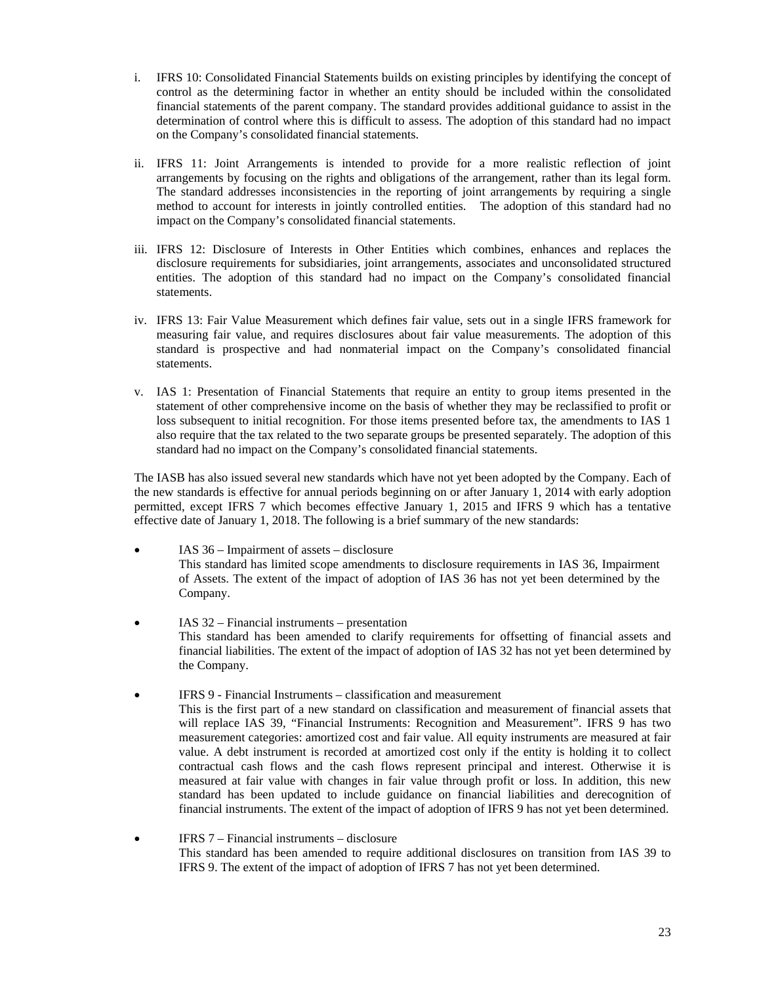- i. IFRS 10: Consolidated Financial Statements builds on existing principles by identifying the concept of control as the determining factor in whether an entity should be included within the consolidated financial statements of the parent company. The standard provides additional guidance to assist in the determination of control where this is difficult to assess. The adoption of this standard had no impact on the Company's consolidated financial statements.
- ii. IFRS 11: Joint Arrangements is intended to provide for a more realistic reflection of joint arrangements by focusing on the rights and obligations of the arrangement, rather than its legal form. The standard addresses inconsistencies in the reporting of joint arrangements by requiring a single method to account for interests in jointly controlled entities. The adoption of this standard had no impact on the Company's consolidated financial statements.
- iii. IFRS 12: Disclosure of Interests in Other Entities which combines, enhances and replaces the disclosure requirements for subsidiaries, joint arrangements, associates and unconsolidated structured entities. The adoption of this standard had no impact on the Company's consolidated financial statements.
- iv. IFRS 13: Fair Value Measurement which defines fair value, sets out in a single IFRS framework for measuring fair value, and requires disclosures about fair value measurements. The adoption of this standard is prospective and had nonmaterial impact on the Company's consolidated financial statements.
- v. IAS 1: Presentation of Financial Statements that require an entity to group items presented in the statement of other comprehensive income on the basis of whether they may be reclassified to profit or loss subsequent to initial recognition. For those items presented before tax, the amendments to IAS 1 also require that the tax related to the two separate groups be presented separately. The adoption of this standard had no impact on the Company's consolidated financial statements.

The IASB has also issued several new standards which have not yet been adopted by the Company. Each of the new standards is effective for annual periods beginning on or after January 1, 2014 with early adoption permitted, except IFRS 7 which becomes effective January 1, 2015 and IFRS 9 which has a tentative effective date of January 1, 2018. The following is a brief summary of the new standards:

- IAS 36 Impairment of assets disclosure This standard has limited scope amendments to disclosure requirements in IAS 36, Impairment of Assets. The extent of the impact of adoption of IAS 36 has not yet been determined by the Company.
- IAS 32 Financial instruments presentation This standard has been amended to clarify requirements for offsetting of financial assets and financial liabilities. The extent of the impact of adoption of IAS 32 has not yet been determined by the Company.
- IFRS 9 Financial Instruments classification and measurement This is the first part of a new standard on classification and measurement of financial assets that will replace IAS 39, "Financial Instruments: Recognition and Measurement". IFRS 9 has two measurement categories: amortized cost and fair value. All equity instruments are measured at fair value. A debt instrument is recorded at amortized cost only if the entity is holding it to collect contractual cash flows and the cash flows represent principal and interest. Otherwise it is measured at fair value with changes in fair value through profit or loss. In addition, this new standard has been updated to include guidance on financial liabilities and derecognition of financial instruments. The extent of the impact of adoption of IFRS 9 has not yet been determined.
- IFRS 7 Financial instruments disclosure This standard has been amended to require additional disclosures on transition from IAS 39 to IFRS 9. The extent of the impact of adoption of IFRS 7 has not yet been determined.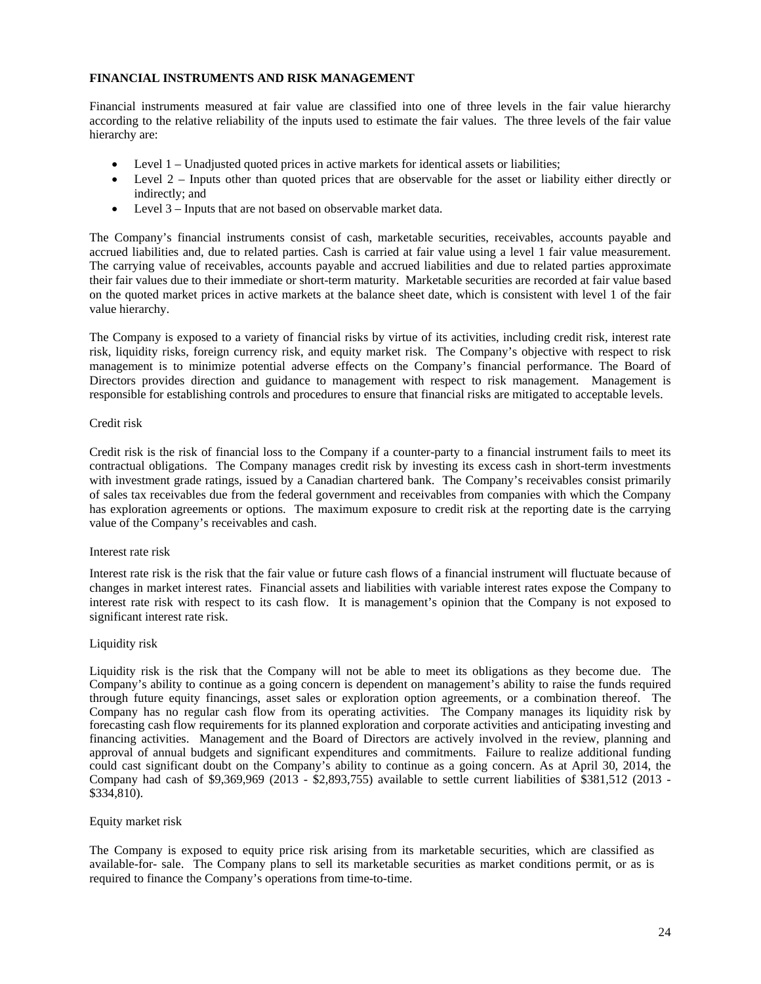# **FINANCIAL INSTRUMENTS AND RISK MANAGEMENT**

Financial instruments measured at fair value are classified into one of three levels in the fair value hierarchy according to the relative reliability of the inputs used to estimate the fair values. The three levels of the fair value hierarchy are:

- Level 1 Unadjusted quoted prices in active markets for identical assets or liabilities;
- Level 2 Inputs other than quoted prices that are observable for the asset or liability either directly or indirectly; and
- Level 3 Inputs that are not based on observable market data.

The Company's financial instruments consist of cash, marketable securities, receivables, accounts payable and accrued liabilities and, due to related parties. Cash is carried at fair value using a level 1 fair value measurement. The carrying value of receivables, accounts payable and accrued liabilities and due to related parties approximate their fair values due to their immediate or short-term maturity. Marketable securities are recorded at fair value based on the quoted market prices in active markets at the balance sheet date, which is consistent with level 1 of the fair value hierarchy.

The Company is exposed to a variety of financial risks by virtue of its activities, including credit risk, interest rate risk, liquidity risks, foreign currency risk, and equity market risk. The Company's objective with respect to risk management is to minimize potential adverse effects on the Company's financial performance. The Board of Directors provides direction and guidance to management with respect to risk management. Management is responsible for establishing controls and procedures to ensure that financial risks are mitigated to acceptable levels.

#### Credit risk

Credit risk is the risk of financial loss to the Company if a counter-party to a financial instrument fails to meet its contractual obligations. The Company manages credit risk by investing its excess cash in short-term investments with investment grade ratings, issued by a Canadian chartered bank. The Company's receivables consist primarily of sales tax receivables due from the federal government and receivables from companies with which the Company has exploration agreements or options. The maximum exposure to credit risk at the reporting date is the carrying value of the Company's receivables and cash.

## Interest rate risk

Interest rate risk is the risk that the fair value or future cash flows of a financial instrument will fluctuate because of changes in market interest rates. Financial assets and liabilities with variable interest rates expose the Company to interest rate risk with respect to its cash flow. It is management's opinion that the Company is not exposed to significant interest rate risk.

## Liquidity risk

Liquidity risk is the risk that the Company will not be able to meet its obligations as they become due. The Company's ability to continue as a going concern is dependent on management's ability to raise the funds required through future equity financings, asset sales or exploration option agreements, or a combination thereof. The Company has no regular cash flow from its operating activities. The Company manages its liquidity risk by forecasting cash flow requirements for its planned exploration and corporate activities and anticipating investing and financing activities. Management and the Board of Directors are actively involved in the review, planning and approval of annual budgets and significant expenditures and commitments. Failure to realize additional funding could cast significant doubt on the Company's ability to continue as a going concern. As at April 30, 2014, the Company had cash of \$9,369,969 (2013 - \$2,893,755) available to settle current liabilities of \$381,512 (2013 - \$334,810).

#### Equity market risk

The Company is exposed to equity price risk arising from its marketable securities, which are classified as available-for- sale. The Company plans to sell its marketable securities as market conditions permit, or as is required to finance the Company's operations from time-to-time.